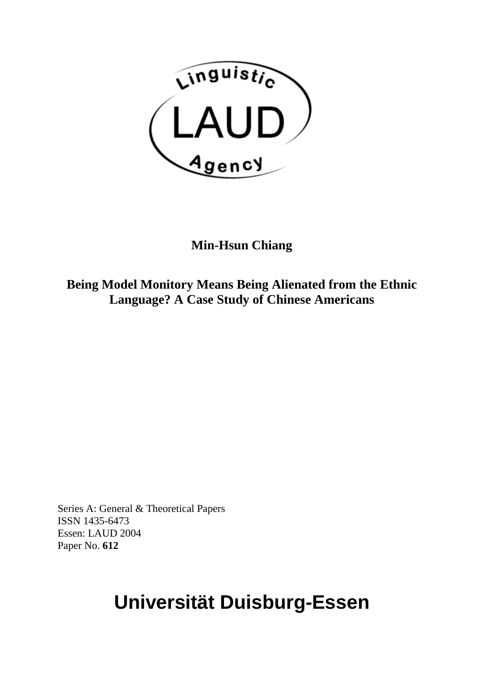

# **Min-Hsun Chiang**

**Being Model Monitory Means Being Alienated from the Ethnic Language? A Case Study of Chinese Americans** 

Series A: General & Theoretical Papers ISSN 1435-6473 Essen: LAUD 2004 Paper No. **612**

# **Universität Duisburg-Essen**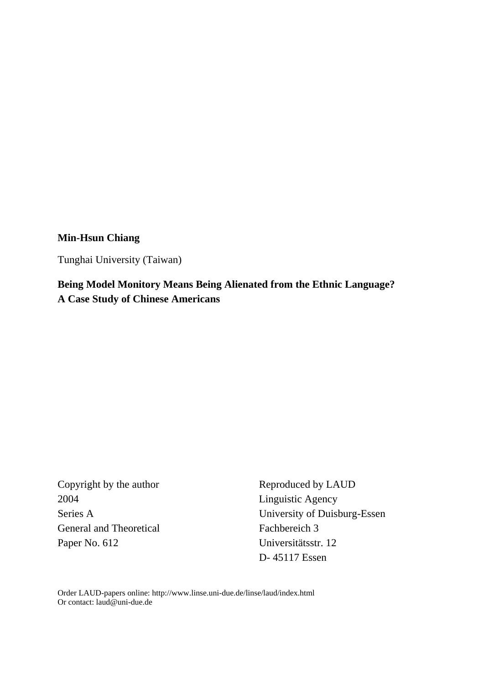## **Min-Hsun Chiang**

Tunghai University (Taiwan)

**Being Model Monitory Means Being Alienated from the Ethnic Language? A Case Study of Chinese Americans** 

2004 Linguistic Agency General and Theoretical Fachbereich 3 Paper No. 612 Universitätsstr. 12

Copyright by the author Reproduced by LAUD Series A University of Duisburg-Essen D- 45117 Essen

Order LAUD-papers online: http://www.linse.uni-due.de/linse/laud/index.html Or contact: laud@uni-due.de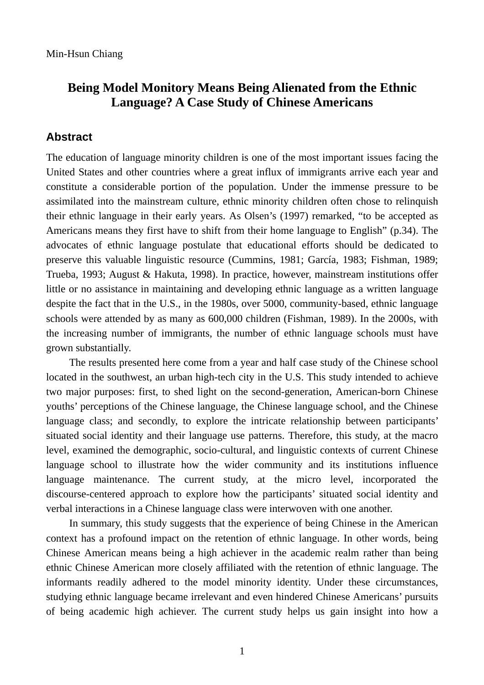## **Being Model Monitory Means Being Alienated from the Ethnic Language? A Case Study of Chinese Americans**

## **Abstract**

The education of language minority children is one of the most important issues facing the United States and other countries where a great influx of immigrants arrive each year and constitute a considerable portion of the population. Under the immense pressure to be assimilated into the mainstream culture, ethnic minority children often chose to relinquish their ethnic language in their early years. As Olsen's (1997) remarked, "to be accepted as Americans means they first have to shift from their home language to English" (p.34). The advocates of ethnic language postulate that educational efforts should be dedicated to preserve this valuable linguistic resource (Cummins, 1981; García, 1983; Fishman, 1989; Trueba, 1993; August & Hakuta, 1998). In practice, however, mainstream institutions offer little or no assistance in maintaining and developing ethnic language as a written language despite the fact that in the U.S., in the 1980s, over 5000, community-based, ethnic language schools were attended by as many as 600,000 children (Fishman, 1989). In the 2000s, with the increasing number of immigrants, the number of ethnic language schools must have grown substantially.

The results presented here come from a year and half case study of the Chinese school located in the southwest, an urban high-tech city in the U.S. This study intended to achieve two major purposes: first, to shed light on the second-generation, American-born Chinese youths' perceptions of the Chinese language, the Chinese language school, and the Chinese language class; and secondly, to explore the intricate relationship between participants' situated social identity and their language use patterns. Therefore, this study, at the macro level, examined the demographic, socio-cultural, and linguistic contexts of current Chinese language school to illustrate how the wider community and its institutions influence language maintenance. The current study, at the micro level, incorporated the discourse-centered approach to explore how the participants' situated social identity and verbal interactions in a Chinese language class were interwoven with one another.

In summary, this study suggests that the experience of being Chinese in the American context has a profound impact on the retention of ethnic language. In other words, being Chinese American means being a high achiever in the academic realm rather than being ethnic Chinese American more closely affiliated with the retention of ethnic language. The informants readily adhered to the model minority identity. Under these circumstances, studying ethnic language became irrelevant and even hindered Chinese Americans' pursuits of being academic high achiever. The current study helps us gain insight into how a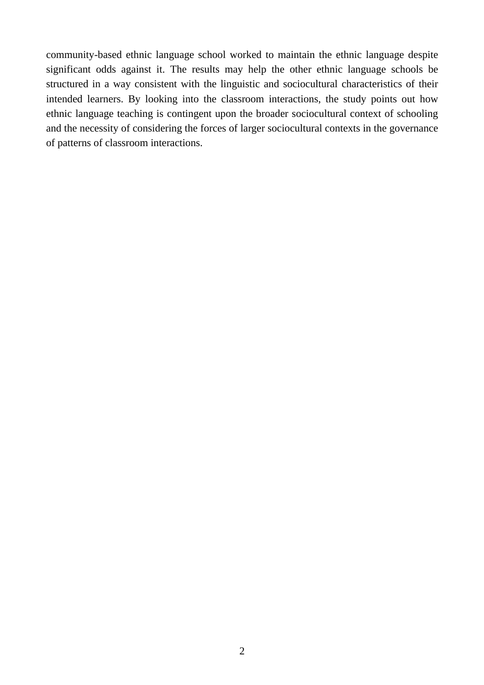community-based ethnic language school worked to maintain the ethnic language despite significant odds against it. The results may help the other ethnic language schools be structured in a way consistent with the linguistic and sociocultural characteristics of their intended learners. By looking into the classroom interactions, the study points out how ethnic language teaching is contingent upon the broader sociocultural context of schooling and the necessity of considering the forces of larger sociocultural contexts in the governance of patterns of classroom interactions.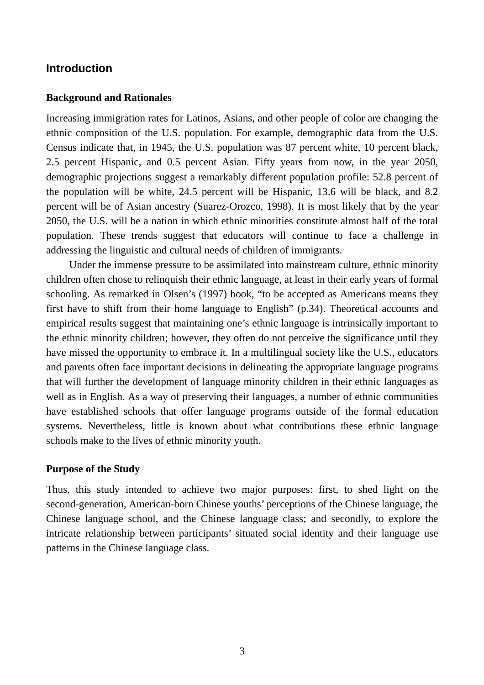## **Introduction**

#### **Background and Rationales**

Increasing immigration rates for Latinos, Asians, and other people of color are changing the ethnic composition of the U.S. population. For example, demographic data from the U.S. Census indicate that, in 1945, the U.S. population was 87 percent white, 10 percent black, 2.5 percent Hispanic, and 0.5 percent Asian. Fifty years from now, in the year 2050, demographic projections suggest a remarkably different population profile: 52.8 percent of the population will be white, 24.5 percent will be Hispanic, 13.6 will be black, and 8.2 percent will be of Asian ancestry (Suarez-Orozco, 1998). It is most likely that by the year 2050, the U.S. will be a nation in which ethnic minorities constitute almost half of the total population. These trends suggest that educators will continue to face a challenge in addressing the linguistic and cultural needs of children of immigrants.

Under the immense pressure to be assimilated into mainstream culture, ethnic minority children often chose to relinquish their ethnic language, at least in their early years of formal schooling. As remarked in Olsen's (1997) book, "to be accepted as Americans means they first have to shift from their home language to English" (p.34). Theoretical accounts and empirical results suggest that maintaining one's ethnic language is intrinsically important to the ethnic minority children; however, they often do not perceive the significance until they have missed the opportunity to embrace it. In a multilingual society like the U.S., educators and parents often face important decisions in delineating the appropriate language programs that will further the development of language minority children in their ethnic languages as well as in English. As a way of preserving their languages, a number of ethnic communities have established schools that offer language programs outside of the formal education systems. Nevertheless, little is known about what contributions these ethnic language schools make to the lives of ethnic minority youth.

#### **Purpose of the Study**

Thus, this study intended to achieve two major purposes: first, to shed light on the second-generation, American-born Chinese youths' perceptions of the Chinese language, the Chinese language school, and the Chinese language class; and secondly, to explore the intricate relationship between participants' situated social identity and their language use patterns in the Chinese language class.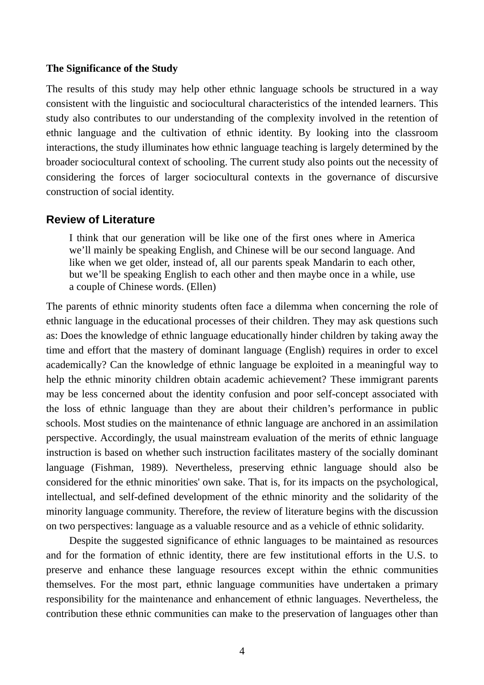#### **The Significance of the Study**

The results of this study may help other ethnic language schools be structured in a way consistent with the linguistic and sociocultural characteristics of the intended learners. This study also contributes to our understanding of the complexity involved in the retention of ethnic language and the cultivation of ethnic identity. By looking into the classroom interactions, the study illuminates how ethnic language teaching is largely determined by the broader sociocultural context of schooling. The current study also points out the necessity of considering the forces of larger sociocultural contexts in the governance of discursive construction of social identity.

## **Review of Literature**

I think that our generation will be like one of the first ones where in America we'll mainly be speaking English, and Chinese will be our second language. And like when we get older, instead of, all our parents speak Mandarin to each other, but we'll be speaking English to each other and then maybe once in a while, use a couple of Chinese words. (Ellen)

The parents of ethnic minority students often face a dilemma when concerning the role of ethnic language in the educational processes of their children. They may ask questions such as: Does the knowledge of ethnic language educationally hinder children by taking away the time and effort that the mastery of dominant language (English) requires in order to excel academically? Can the knowledge of ethnic language be exploited in a meaningful way to help the ethnic minority children obtain academic achievement? These immigrant parents may be less concerned about the identity confusion and poor self-concept associated with the loss of ethnic language than they are about their children's performance in public schools. Most studies on the maintenance of ethnic language are anchored in an assimilation perspective. Accordingly, the usual mainstream evaluation of the merits of ethnic language instruction is based on whether such instruction facilitates mastery of the socially dominant language (Fishman, 1989). Nevertheless, preserving ethnic language should also be considered for the ethnic minorities' own sake. That is, for its impacts on the psychological, intellectual, and self-defined development of the ethnic minority and the solidarity of the minority language community. Therefore, the review of literature begins with the discussion on two perspectives: language as a valuable resource and as a vehicle of ethnic solidarity.

Despite the suggested significance of ethnic languages to be maintained as resources and for the formation of ethnic identity, there are few institutional efforts in the U.S. to preserve and enhance these language resources except within the ethnic communities themselves. For the most part, ethnic language communities have undertaken a primary responsibility for the maintenance and enhancement of ethnic languages. Nevertheless, the contribution these ethnic communities can make to the preservation of languages other than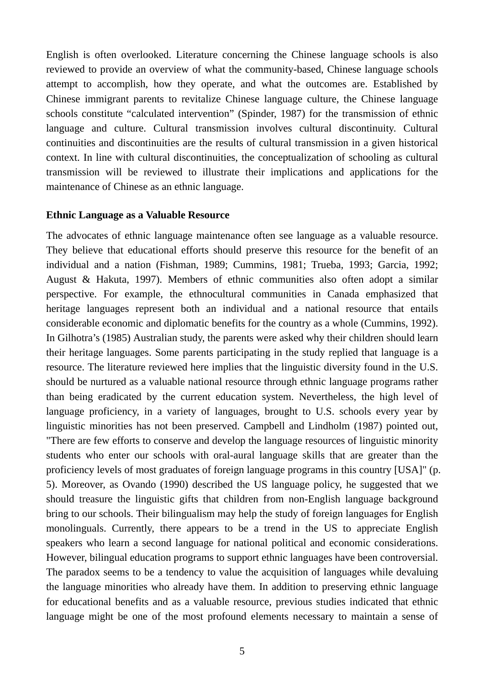English is often overlooked. Literature concerning the Chinese language schools is also reviewed to provide an overview of what the community-based, Chinese language schools attempt to accomplish, how they operate, and what the outcomes are. Established by Chinese immigrant parents to revitalize Chinese language culture, the Chinese language schools constitute "calculated intervention" (Spinder, 1987) for the transmission of ethnic language and culture. Cultural transmission involves cultural discontinuity. Cultural continuities and discontinuities are the results of cultural transmission in a given historical context. In line with cultural discontinuities, the conceptualization of schooling as cultural transmission will be reviewed to illustrate their implications and applications for the maintenance of Chinese as an ethnic language.

#### **Ethnic Language as a Valuable Resource**

The advocates of ethnic language maintenance often see language as a valuable resource. They believe that educational efforts should preserve this resource for the benefit of an individual and a nation (Fishman, 1989; Cummins, 1981; Trueba, 1993; Garcia, 1992; August & Hakuta, 1997). Members of ethnic communities also often adopt a similar perspective. For example, the ethnocultural communities in Canada emphasized that heritage languages represent both an individual and a national resource that entails considerable economic and diplomatic benefits for the country as a whole (Cummins, 1992). In Gilhotra's (1985) Australian study, the parents were asked why their children should learn their heritage languages. Some parents participating in the study replied that language is a resource. The literature reviewed here implies that the linguistic diversity found in the U.S. should be nurtured as a valuable national resource through ethnic language programs rather than being eradicated by the current education system. Nevertheless, the high level of language proficiency, in a variety of languages, brought to U.S. schools every year by linguistic minorities has not been preserved. Campbell and Lindholm (1987) pointed out, "There are few efforts to conserve and develop the language resources of linguistic minority students who enter our schools with oral-aural language skills that are greater than the proficiency levels of most graduates of foreign language programs in this country [USA]" (p. 5). Moreover, as Ovando (1990) described the US language policy, he suggested that we should treasure the linguistic gifts that children from non-English language background bring to our schools. Their bilingualism may help the study of foreign languages for English monolinguals. Currently, there appears to be a trend in the US to appreciate English speakers who learn a second language for national political and economic considerations. However, bilingual education programs to support ethnic languages have been controversial. The paradox seems to be a tendency to value the acquisition of languages while devaluing the language minorities who already have them. In addition to preserving ethnic language for educational benefits and as a valuable resource, previous studies indicated that ethnic language might be one of the most profound elements necessary to maintain a sense of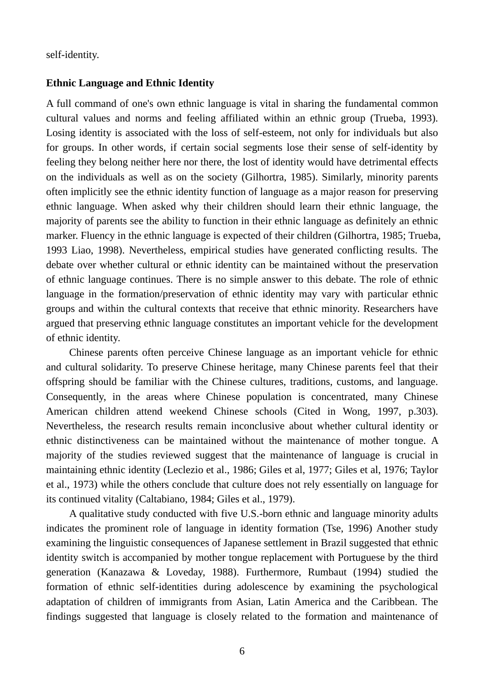self-identity.

#### **Ethnic Language and Ethnic Identity**

A full command of one's own ethnic language is vital in sharing the fundamental common cultural values and norms and feeling affiliated within an ethnic group (Trueba, 1993). Losing identity is associated with the loss of self-esteem, not only for individuals but also for groups. In other words, if certain social segments lose their sense of self-identity by feeling they belong neither here nor there, the lost of identity would have detrimental effects on the individuals as well as on the society (Gilhortra, 1985). Similarly, minority parents often implicitly see the ethnic identity function of language as a major reason for preserving ethnic language. When asked why their children should learn their ethnic language, the majority of parents see the ability to function in their ethnic language as definitely an ethnic marker. Fluency in the ethnic language is expected of their children (Gilhortra, 1985; Trueba, 1993 Liao, 1998). Nevertheless, empirical studies have generated conflicting results. The debate over whether cultural or ethnic identity can be maintained without the preservation of ethnic language continues. There is no simple answer to this debate. The role of ethnic language in the formation/preservation of ethnic identity may vary with particular ethnic groups and within the cultural contexts that receive that ethnic minority. Researchers have argued that preserving ethnic language constitutes an important vehicle for the development of ethnic identity.

Chinese parents often perceive Chinese language as an important vehicle for ethnic and cultural solidarity. To preserve Chinese heritage, many Chinese parents feel that their offspring should be familiar with the Chinese cultures, traditions, customs, and language. Consequently, in the areas where Chinese population is concentrated, many Chinese American children attend weekend Chinese schools (Cited in Wong, 1997, p.303). Nevertheless, the research results remain inconclusive about whether cultural identity or ethnic distinctiveness can be maintained without the maintenance of mother tongue. A majority of the studies reviewed suggest that the maintenance of language is crucial in maintaining ethnic identity (Leclezio et al., 1986; Giles et al, 1977; Giles et al, 1976; Taylor et al., 1973) while the others conclude that culture does not rely essentially on language for its continued vitality (Caltabiano, 1984; Giles et al., 1979).

A qualitative study conducted with five U.S.-born ethnic and language minority adults indicates the prominent role of language in identity formation (Tse, 1996) Another study examining the linguistic consequences of Japanese settlement in Brazil suggested that ethnic identity switch is accompanied by mother tongue replacement with Portuguese by the third generation (Kanazawa & Loveday, 1988). Furthermore, Rumbaut (1994) studied the formation of ethnic self-identities during adolescence by examining the psychological adaptation of children of immigrants from Asian, Latin America and the Caribbean. The findings suggested that language is closely related to the formation and maintenance of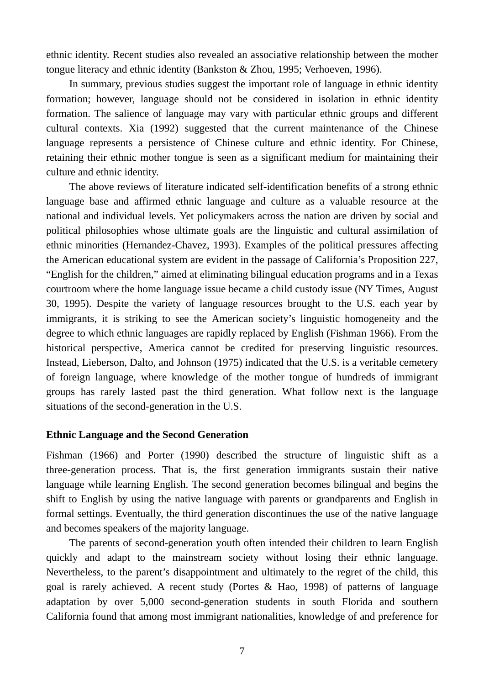ethnic identity. Recent studies also revealed an associative relationship between the mother tongue literacy and ethnic identity (Bankston & Zhou, 1995; Verhoeven, 1996).

In summary, previous studies suggest the important role of language in ethnic identity formation; however, language should not be considered in isolation in ethnic identity formation. The salience of language may vary with particular ethnic groups and different cultural contexts. Xia (1992) suggested that the current maintenance of the Chinese language represents a persistence of Chinese culture and ethnic identity. For Chinese, retaining their ethnic mother tongue is seen as a significant medium for maintaining their culture and ethnic identity.

The above reviews of literature indicated self-identification benefits of a strong ethnic language base and affirmed ethnic language and culture as a valuable resource at the national and individual levels. Yet policymakers across the nation are driven by social and political philosophies whose ultimate goals are the linguistic and cultural assimilation of ethnic minorities (Hernandez-Chavez, 1993). Examples of the political pressures affecting the American educational system are evident in the passage of California's Proposition 227, "English for the children," aimed at eliminating bilingual education programs and in a Texas courtroom where the home language issue became a child custody issue (NY Times, August 30, 1995). Despite the variety of language resources brought to the U.S. each year by immigrants, it is striking to see the American society's linguistic homogeneity and the degree to which ethnic languages are rapidly replaced by English (Fishman 1966). From the historical perspective, America cannot be credited for preserving linguistic resources. Instead, Lieberson, Dalto, and Johnson (1975) indicated that the U.S. is a veritable cemetery of foreign language, where knowledge of the mother tongue of hundreds of immigrant groups has rarely lasted past the third generation. What follow next is the language situations of the second-generation in the U.S.

#### **Ethnic Language and the Second Generation**

Fishman (1966) and Porter (1990) described the structure of linguistic shift as a three-generation process. That is, the first generation immigrants sustain their native language while learning English. The second generation becomes bilingual and begins the shift to English by using the native language with parents or grandparents and English in formal settings. Eventually, the third generation discontinues the use of the native language and becomes speakers of the majority language.

The parents of second-generation youth often intended their children to learn English quickly and adapt to the mainstream society without losing their ethnic language. Nevertheless, to the parent's disappointment and ultimately to the regret of the child, this goal is rarely achieved. A recent study (Portes & Hao, 1998) of patterns of language adaptation by over 5,000 second-generation students in south Florida and southern California found that among most immigrant nationalities, knowledge of and preference for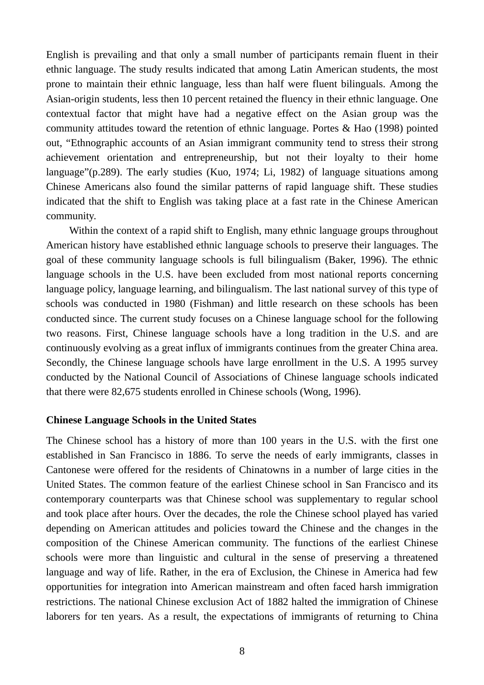English is prevailing and that only a small number of participants remain fluent in their ethnic language. The study results indicated that among Latin American students, the most prone to maintain their ethnic language, less than half were fluent bilinguals. Among the Asian-origin students, less then 10 percent retained the fluency in their ethnic language. One contextual factor that might have had a negative effect on the Asian group was the community attitudes toward the retention of ethnic language. Portes & Hao (1998) pointed out, "Ethnographic accounts of an Asian immigrant community tend to stress their strong achievement orientation and entrepreneurship, but not their loyalty to their home language"(p.289). The early studies (Kuo, 1974; Li, 1982) of language situations among Chinese Americans also found the similar patterns of rapid language shift. These studies indicated that the shift to English was taking place at a fast rate in the Chinese American community.

Within the context of a rapid shift to English, many ethnic language groups throughout American history have established ethnic language schools to preserve their languages. The goal of these community language schools is full bilingualism (Baker, 1996). The ethnic language schools in the U.S. have been excluded from most national reports concerning language policy, language learning, and bilingualism. The last national survey of this type of schools was conducted in 1980 (Fishman) and little research on these schools has been conducted since. The current study focuses on a Chinese language school for the following two reasons. First, Chinese language schools have a long tradition in the U.S. and are continuously evolving as a great influx of immigrants continues from the greater China area. Secondly, the Chinese language schools have large enrollment in the U.S. A 1995 survey conducted by the National Council of Associations of Chinese language schools indicated that there were 82,675 students enrolled in Chinese schools (Wong, 1996).

#### **Chinese Language Schools in the United States**

The Chinese school has a history of more than 100 years in the U.S. with the first one established in San Francisco in 1886. To serve the needs of early immigrants, classes in Cantonese were offered for the residents of Chinatowns in a number of large cities in the United States. The common feature of the earliest Chinese school in San Francisco and its contemporary counterparts was that Chinese school was supplementary to regular school and took place after hours. Over the decades, the role the Chinese school played has varied depending on American attitudes and policies toward the Chinese and the changes in the composition of the Chinese American community. The functions of the earliest Chinese schools were more than linguistic and cultural in the sense of preserving a threatened language and way of life. Rather, in the era of Exclusion, the Chinese in America had few opportunities for integration into American mainstream and often faced harsh immigration restrictions. The national Chinese exclusion Act of 1882 halted the immigration of Chinese laborers for ten years. As a result, the expectations of immigrants of returning to China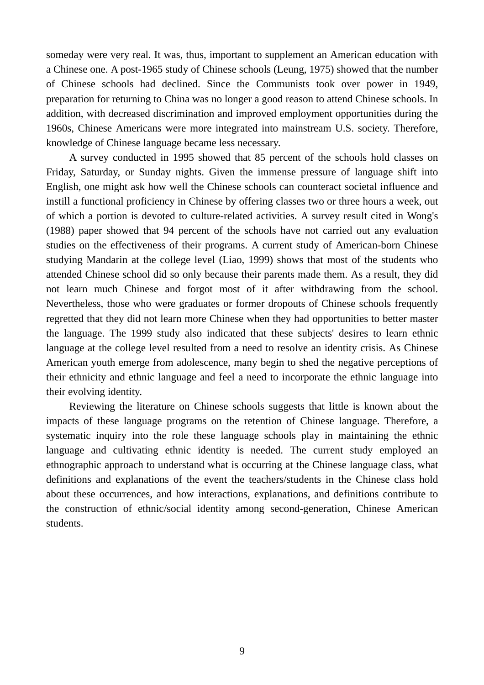someday were very real. It was, thus, important to supplement an American education with a Chinese one. A post-1965 study of Chinese schools (Leung, 1975) showed that the number of Chinese schools had declined. Since the Communists took over power in 1949, preparation for returning to China was no longer a good reason to attend Chinese schools. In addition, with decreased discrimination and improved employment opportunities during the 1960s, Chinese Americans were more integrated into mainstream U.S. society. Therefore, knowledge of Chinese language became less necessary.

A survey conducted in 1995 showed that 85 percent of the schools hold classes on Friday, Saturday, or Sunday nights. Given the immense pressure of language shift into English, one might ask how well the Chinese schools can counteract societal influence and instill a functional proficiency in Chinese by offering classes two or three hours a week, out of which a portion is devoted to culture-related activities. A survey result cited in Wong's (1988) paper showed that 94 percent of the schools have not carried out any evaluation studies on the effectiveness of their programs. A current study of American-born Chinese studying Mandarin at the college level (Liao, 1999) shows that most of the students who attended Chinese school did so only because their parents made them. As a result, they did not learn much Chinese and forgot most of it after withdrawing from the school. Nevertheless, those who were graduates or former dropouts of Chinese schools frequently regretted that they did not learn more Chinese when they had opportunities to better master the language. The 1999 study also indicated that these subjects' desires to learn ethnic language at the college level resulted from a need to resolve an identity crisis. As Chinese American youth emerge from adolescence, many begin to shed the negative perceptions of their ethnicity and ethnic language and feel a need to incorporate the ethnic language into their evolving identity.

Reviewing the literature on Chinese schools suggests that little is known about the impacts of these language programs on the retention of Chinese language. Therefore, a systematic inquiry into the role these language schools play in maintaining the ethnic language and cultivating ethnic identity is needed. The current study employed an ethnographic approach to understand what is occurring at the Chinese language class, what definitions and explanations of the event the teachers/students in the Chinese class hold about these occurrences, and how interactions, explanations, and definitions contribute to the construction of ethnic/social identity among second-generation, Chinese American students.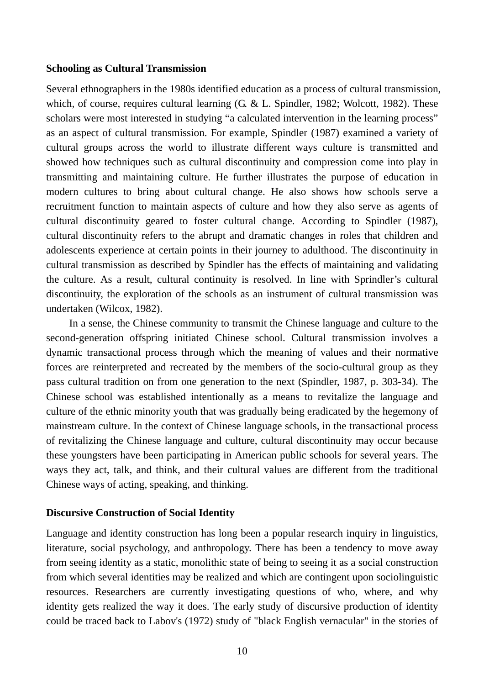#### **Schooling as Cultural Transmission**

Several ethnographers in the 1980s identified education as a process of cultural transmission, which, of course, requires cultural learning (G. & L. Spindler, 1982; Wolcott, 1982). These scholars were most interested in studying "a calculated intervention in the learning process" as an aspect of cultural transmission. For example, Spindler (1987) examined a variety of cultural groups across the world to illustrate different ways culture is transmitted and showed how techniques such as cultural discontinuity and compression come into play in transmitting and maintaining culture. He further illustrates the purpose of education in modern cultures to bring about cultural change. He also shows how schools serve a recruitment function to maintain aspects of culture and how they also serve as agents of cultural discontinuity geared to foster cultural change. According to Spindler (1987), cultural discontinuity refers to the abrupt and dramatic changes in roles that children and adolescents experience at certain points in their journey to adulthood. The discontinuity in cultural transmission as described by Spindler has the effects of maintaining and validating the culture. As a result, cultural continuity is resolved. In line with Sprindler's cultural discontinuity, the exploration of the schools as an instrument of cultural transmission was undertaken (Wilcox, 1982).

In a sense, the Chinese community to transmit the Chinese language and culture to the second-generation offspring initiated Chinese school. Cultural transmission involves a dynamic transactional process through which the meaning of values and their normative forces are reinterpreted and recreated by the members of the socio-cultural group as they pass cultural tradition on from one generation to the next (Spindler, 1987, p. 303-34). The Chinese school was established intentionally as a means to revitalize the language and culture of the ethnic minority youth that was gradually being eradicated by the hegemony of mainstream culture. In the context of Chinese language schools, in the transactional process of revitalizing the Chinese language and culture, cultural discontinuity may occur because these youngsters have been participating in American public schools for several years. The ways they act, talk, and think, and their cultural values are different from the traditional Chinese ways of acting, speaking, and thinking.

#### **Discursive Construction of Social Identity**

Language and identity construction has long been a popular research inquiry in linguistics, literature, social psychology, and anthropology. There has been a tendency to move away from seeing identity as a static, monolithic state of being to seeing it as a social construction from which several identities may be realized and which are contingent upon sociolinguistic resources. Researchers are currently investigating questions of who, where, and why identity gets realized the way it does. The early study of discursive production of identity could be traced back to Labov's (1972) study of "black English vernacular" in the stories of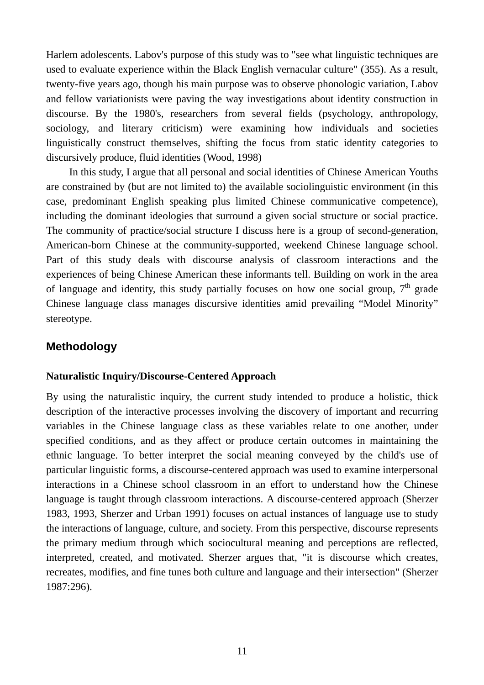Harlem adolescents. Labov's purpose of this study was to "see what linguistic techniques are used to evaluate experience within the Black English vernacular culture" (355). As a result, twenty-five years ago, though his main purpose was to observe phonologic variation, Labov and fellow variationists were paving the way investigations about identity construction in discourse. By the 1980's, researchers from several fields (psychology, anthropology, sociology, and literary criticism) were examining how individuals and societies linguistically construct themselves, shifting the focus from static identity categories to discursively produce, fluid identities (Wood, 1998)

In this study, I argue that all personal and social identities of Chinese American Youths are constrained by (but are not limited to) the available sociolinguistic environment (in this case, predominant English speaking plus limited Chinese communicative competence), including the dominant ideologies that surround a given social structure or social practice. The community of practice/social structure I discuss here is a group of second-generation, American-born Chinese at the community-supported, weekend Chinese language school. Part of this study deals with discourse analysis of classroom interactions and the experiences of being Chinese American these informants tell. Building on work in the area of language and identity, this study partially focuses on how one social group.  $7<sup>th</sup>$  grade Chinese language class manages discursive identities amid prevailing "Model Minority" stereotype.

## **Methodology**

#### **Naturalistic Inquiry/Discourse-Centered Approach**

By using the naturalistic inquiry, the current study intended to produce a holistic, thick description of the interactive processes involving the discovery of important and recurring variables in the Chinese language class as these variables relate to one another, under specified conditions, and as they affect or produce certain outcomes in maintaining the ethnic language. To better interpret the social meaning conveyed by the child's use of particular linguistic forms, a discourse-centered approach was used to examine interpersonal interactions in a Chinese school classroom in an effort to understand how the Chinese language is taught through classroom interactions. A discourse-centered approach (Sherzer 1983, 1993, Sherzer and Urban 1991) focuses on actual instances of language use to study the interactions of language, culture, and society. From this perspective, discourse represents the primary medium through which sociocultural meaning and perceptions are reflected, interpreted, created, and motivated. Sherzer argues that, "it is discourse which creates, recreates, modifies, and fine tunes both culture and language and their intersection" (Sherzer 1987:296).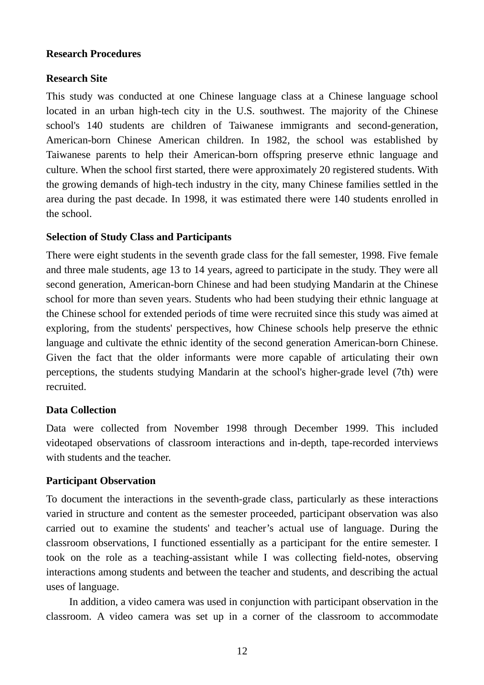## **Research Procedures**

## **Research Site**

This study was conducted at one Chinese language class at a Chinese language school located in an urban high-tech city in the U.S. southwest. The majority of the Chinese school's 140 students are children of Taiwanese immigrants and second-generation, American-born Chinese American children. In 1982, the school was established by Taiwanese parents to help their American-born offspring preserve ethnic language and culture. When the school first started, there were approximately 20 registered students. With the growing demands of high-tech industry in the city, many Chinese families settled in the area during the past decade. In 1998, it was estimated there were 140 students enrolled in the school.

## **Selection of Study Class and Participants**

There were eight students in the seventh grade class for the fall semester, 1998. Five female and three male students, age 13 to 14 years, agreed to participate in the study. They were all second generation, American-born Chinese and had been studying Mandarin at the Chinese school for more than seven years. Students who had been studying their ethnic language at the Chinese school for extended periods of time were recruited since this study was aimed at exploring, from the students' perspectives, how Chinese schools help preserve the ethnic language and cultivate the ethnic identity of the second generation American-born Chinese. Given the fact that the older informants were more capable of articulating their own perceptions, the students studying Mandarin at the school's higher-grade level (7th) were recruited.

## **Data Collection**

Data were collected from November 1998 through December 1999. This included videotaped observations of classroom interactions and in-depth, tape-recorded interviews with students and the teacher.

#### **Participant Observation**

To document the interactions in the seventh-grade class, particularly as these interactions varied in structure and content as the semester proceeded, participant observation was also carried out to examine the students' and teacher's actual use of language. During the classroom observations, I functioned essentially as a participant for the entire semester. I took on the role as a teaching-assistant while I was collecting field-notes, observing interactions among students and between the teacher and students, and describing the actual uses of language.

In addition, a video camera was used in conjunction with participant observation in the classroom. A video camera was set up in a corner of the classroom to accommodate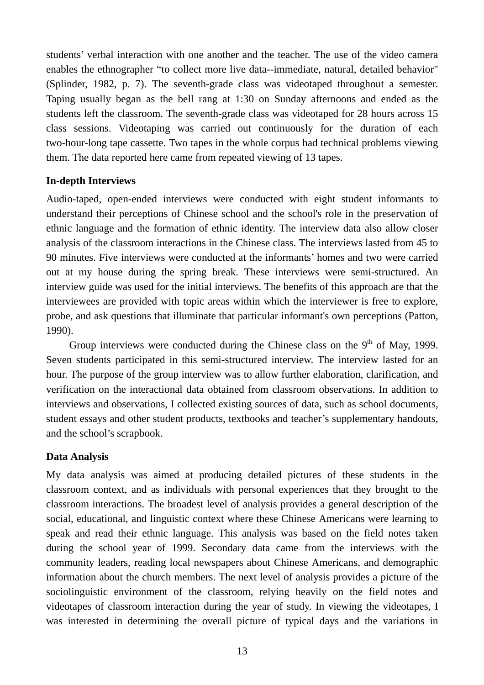students' verbal interaction with one another and the teacher. The use of the video camera enables the ethnographer "to collect more live data--immediate, natural, detailed behavior" (Splinder, 1982, p. 7). The seventh-grade class was videotaped throughout a semester. Taping usually began as the bell rang at 1:30 on Sunday afternoons and ended as the students left the classroom. The seventh-grade class was videotaped for 28 hours across 15 class sessions. Videotaping was carried out continuously for the duration of each two-hour-long tape cassette. Two tapes in the whole corpus had technical problems viewing them. The data reported here came from repeated viewing of 13 tapes.

## **In-depth Interviews**

Audio-taped, open-ended interviews were conducted with eight student informants to understand their perceptions of Chinese school and the school's role in the preservation of ethnic language and the formation of ethnic identity. The interview data also allow closer analysis of the classroom interactions in the Chinese class. The interviews lasted from 45 to 90 minutes. Five interviews were conducted at the informants' homes and two were carried out at my house during the spring break. These interviews were semi-structured. An interview guide was used for the initial interviews. The benefits of this approach are that the interviewees are provided with topic areas within which the interviewer is free to explore, probe, and ask questions that illuminate that particular informant's own perceptions (Patton, 1990).

Group interviews were conducted during the Chinese class on the  $9<sup>th</sup>$  of May, 1999. Seven students participated in this semi-structured interview. The interview lasted for an hour. The purpose of the group interview was to allow further elaboration, clarification, and verification on the interactional data obtained from classroom observations. In addition to interviews and observations, I collected existing sources of data, such as school documents, student essays and other student products, textbooks and teacher's supplementary handouts, and the school's scrapbook.

## **Data Analysis**

My data analysis was aimed at producing detailed pictures of these students in the classroom context, and as individuals with personal experiences that they brought to the classroom interactions. The broadest level of analysis provides a general description of the social, educational, and linguistic context where these Chinese Americans were learning to speak and read their ethnic language. This analysis was based on the field notes taken during the school year of 1999. Secondary data came from the interviews with the community leaders, reading local newspapers about Chinese Americans, and demographic information about the church members. The next level of analysis provides a picture of the sociolinguistic environment of the classroom, relying heavily on the field notes and videotapes of classroom interaction during the year of study. In viewing the videotapes, I was interested in determining the overall picture of typical days and the variations in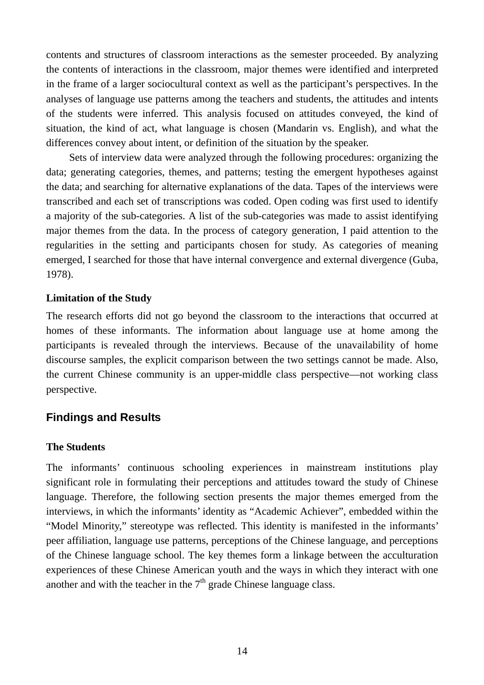contents and structures of classroom interactions as the semester proceeded. By analyzing the contents of interactions in the classroom, major themes were identified and interpreted in the frame of a larger sociocultural context as well as the participant's perspectives. In the analyses of language use patterns among the teachers and students, the attitudes and intents of the students were inferred. This analysis focused on attitudes conveyed, the kind of situation, the kind of act, what language is chosen (Mandarin vs. English), and what the differences convey about intent, or definition of the situation by the speaker.

Sets of interview data were analyzed through the following procedures: organizing the data; generating categories, themes, and patterns; testing the emergent hypotheses against the data; and searching for alternative explanations of the data. Tapes of the interviews were transcribed and each set of transcriptions was coded. Open coding was first used to identify a majority of the sub-categories. A list of the sub-categories was made to assist identifying major themes from the data. In the process of category generation, I paid attention to the regularities in the setting and participants chosen for study. As categories of meaning emerged, I searched for those that have internal convergence and external divergence (Guba, 1978).

## **Limitation of the Study**

The research efforts did not go beyond the classroom to the interactions that occurred at homes of these informants. The information about language use at home among the participants is revealed through the interviews. Because of the unavailability of home discourse samples, the explicit comparison between the two settings cannot be made. Also, the current Chinese community is an upper-middle class perspective—not working class perspective.

## **Findings and Results**

## **The Students**

The informants' continuous schooling experiences in mainstream institutions play significant role in formulating their perceptions and attitudes toward the study of Chinese language. Therefore, the following section presents the major themes emerged from the interviews, in which the informants' identity as "Academic Achiever", embedded within the "Model Minority," stereotype was reflected. This identity is manifested in the informants' peer affiliation, language use patterns, perceptions of the Chinese language, and perceptions of the Chinese language school. The key themes form a linkage between the acculturation experiences of these Chinese American youth and the ways in which they interact with one another and with the teacher in the  $7<sup>th</sup>$  grade Chinese language class.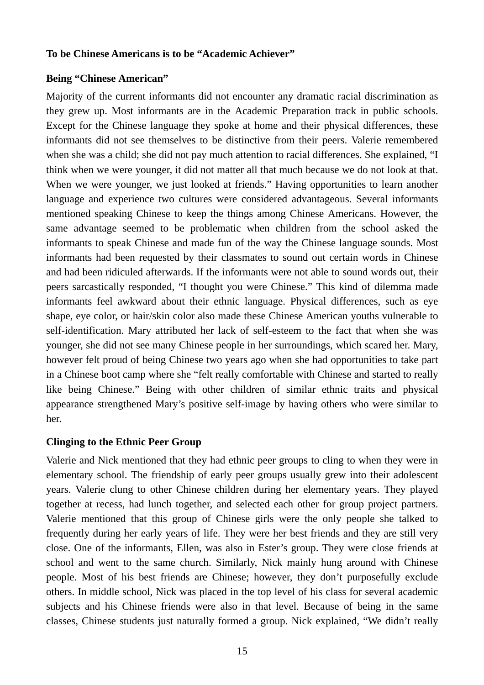#### **To be Chinese Americans is to be "Academic Achiever"**

#### **Being "Chinese American"**

Majority of the current informants did not encounter any dramatic racial discrimination as they grew up. Most informants are in the Academic Preparation track in public schools. Except for the Chinese language they spoke at home and their physical differences, these informants did not see themselves to be distinctive from their peers. Valerie remembered when she was a child; she did not pay much attention to racial differences. She explained, "I think when we were younger, it did not matter all that much because we do not look at that. When we were younger, we just looked at friends." Having opportunities to learn another language and experience two cultures were considered advantageous. Several informants mentioned speaking Chinese to keep the things among Chinese Americans. However, the same advantage seemed to be problematic when children from the school asked the informants to speak Chinese and made fun of the way the Chinese language sounds. Most informants had been requested by their classmates to sound out certain words in Chinese and had been ridiculed afterwards. If the informants were not able to sound words out, their peers sarcastically responded, "I thought you were Chinese." This kind of dilemma made informants feel awkward about their ethnic language. Physical differences, such as eye shape, eye color, or hair/skin color also made these Chinese American youths vulnerable to self-identification. Mary attributed her lack of self-esteem to the fact that when she was younger, she did not see many Chinese people in her surroundings, which scared her. Mary, however felt proud of being Chinese two years ago when she had opportunities to take part in a Chinese boot camp where she "felt really comfortable with Chinese and started to really like being Chinese." Being with other children of similar ethnic traits and physical appearance strengthened Mary's positive self-image by having others who were similar to her.

#### **Clinging to the Ethnic Peer Group**

Valerie and Nick mentioned that they had ethnic peer groups to cling to when they were in elementary school. The friendship of early peer groups usually grew into their adolescent years. Valerie clung to other Chinese children during her elementary years. They played together at recess, had lunch together, and selected each other for group project partners. Valerie mentioned that this group of Chinese girls were the only people she talked to frequently during her early years of life. They were her best friends and they are still very close. One of the informants, Ellen, was also in Ester's group. They were close friends at school and went to the same church. Similarly, Nick mainly hung around with Chinese people. Most of his best friends are Chinese; however, they don't purposefully exclude others. In middle school, Nick was placed in the top level of his class for several academic subjects and his Chinese friends were also in that level. Because of being in the same classes, Chinese students just naturally formed a group. Nick explained, "We didn't really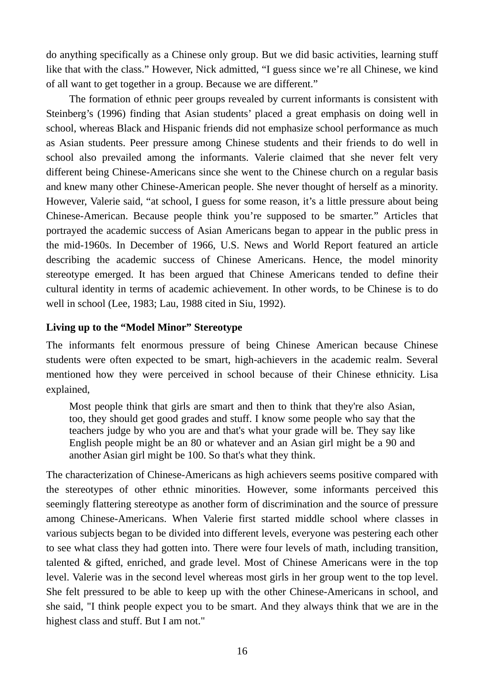do anything specifically as a Chinese only group. But we did basic activities, learning stuff like that with the class." However, Nick admitted, "I guess since we're all Chinese, we kind of all want to get together in a group. Because we are different."

The formation of ethnic peer groups revealed by current informants is consistent with Steinberg's (1996) finding that Asian students' placed a great emphasis on doing well in school, whereas Black and Hispanic friends did not emphasize school performance as much as Asian students. Peer pressure among Chinese students and their friends to do well in school also prevailed among the informants. Valerie claimed that she never felt very different being Chinese-Americans since she went to the Chinese church on a regular basis and knew many other Chinese-American people. She never thought of herself as a minority. However, Valerie said, "at school, I guess for some reason, it's a little pressure about being Chinese-American. Because people think you're supposed to be smarter." Articles that portrayed the academic success of Asian Americans began to appear in the public press in the mid-1960s. In December of 1966, U.S. News and World Report featured an article describing the academic success of Chinese Americans. Hence, the model minority stereotype emerged. It has been argued that Chinese Americans tended to define their cultural identity in terms of academic achievement. In other words, to be Chinese is to do well in school (Lee, 1983; Lau, 1988 cited in Siu, 1992).

## **Living up to the "Model Minor" Stereotype**

The informants felt enormous pressure of being Chinese American because Chinese students were often expected to be smart, high-achievers in the academic realm. Several mentioned how they were perceived in school because of their Chinese ethnicity. Lisa explained,

Most people think that girls are smart and then to think that they're also Asian, too, they should get good grades and stuff. I know some people who say that the teachers judge by who you are and that's what your grade will be. They say like English people might be an 80 or whatever and an Asian girl might be a 90 and another Asian girl might be 100. So that's what they think.

The characterization of Chinese-Americans as high achievers seems positive compared with the stereotypes of other ethnic minorities. However, some informants perceived this seemingly flattering stereotype as another form of discrimination and the source of pressure among Chinese-Americans. When Valerie first started middle school where classes in various subjects began to be divided into different levels, everyone was pestering each other to see what class they had gotten into. There were four levels of math, including transition, talented & gifted, enriched, and grade level. Most of Chinese Americans were in the top level. Valerie was in the second level whereas most girls in her group went to the top level. She felt pressured to be able to keep up with the other Chinese-Americans in school, and she said, "I think people expect you to be smart. And they always think that we are in the highest class and stuff. But I am not."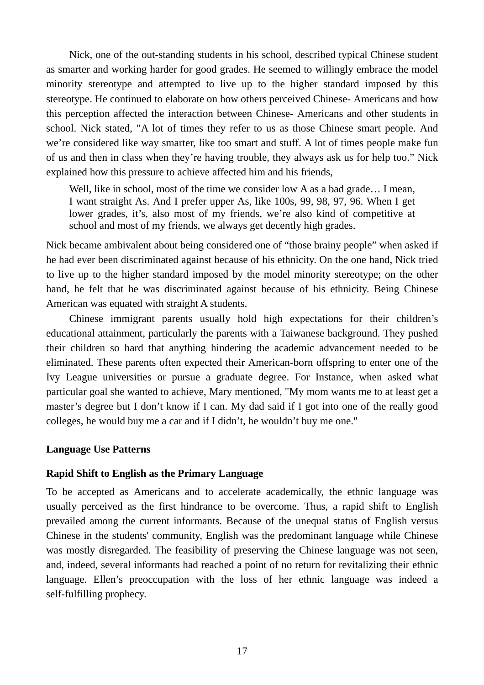Nick, one of the out-standing students in his school, described typical Chinese student as smarter and working harder for good grades. He seemed to willingly embrace the model minority stereotype and attempted to live up to the higher standard imposed by this stereotype. He continued to elaborate on how others perceived Chinese- Americans and how this perception affected the interaction between Chinese- Americans and other students in school. Nick stated, "A lot of times they refer to us as those Chinese smart people. And we're considered like way smarter, like too smart and stuff. A lot of times people make fun of us and then in class when they're having trouble, they always ask us for help too." Nick explained how this pressure to achieve affected him and his friends,

Well, like in school, most of the time we consider low A as a bad grade... I mean, I want straight As. And I prefer upper As, like 100s, 99, 98, 97, 96. When I get lower grades, it's, also most of my friends, we're also kind of competitive at school and most of my friends, we always get decently high grades.

Nick became ambivalent about being considered one of "those brainy people" when asked if he had ever been discriminated against because of his ethnicity. On the one hand, Nick tried to live up to the higher standard imposed by the model minority stereotype; on the other hand, he felt that he was discriminated against because of his ethnicity. Being Chinese American was equated with straight A students.

Chinese immigrant parents usually hold high expectations for their children's educational attainment, particularly the parents with a Taiwanese background. They pushed their children so hard that anything hindering the academic advancement needed to be eliminated. These parents often expected their American-born offspring to enter one of the Ivy League universities or pursue a graduate degree. For Instance, when asked what particular goal she wanted to achieve, Mary mentioned, "My mom wants me to at least get a master's degree but I don't know if I can. My dad said if I got into one of the really good colleges, he would buy me a car and if I didn't, he wouldn't buy me one."

#### **Language Use Patterns**

## **Rapid Shift to English as the Primary Language**

To be accepted as Americans and to accelerate academically, the ethnic language was usually perceived as the first hindrance to be overcome. Thus, a rapid shift to English prevailed among the current informants. Because of the unequal status of English versus Chinese in the students' community, English was the predominant language while Chinese was mostly disregarded. The feasibility of preserving the Chinese language was not seen, and, indeed, several informants had reached a point of no return for revitalizing their ethnic language. Ellen's preoccupation with the loss of her ethnic language was indeed a self-fulfilling prophecy.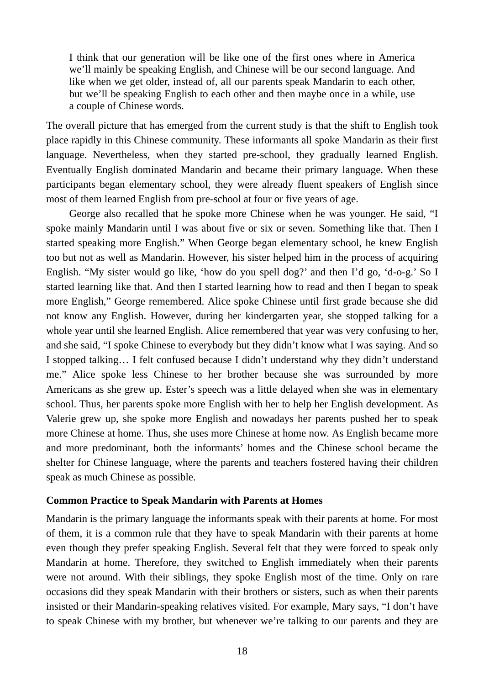I think that our generation will be like one of the first ones where in America we'll mainly be speaking English, and Chinese will be our second language. And like when we get older, instead of, all our parents speak Mandarin to each other, but we'll be speaking English to each other and then maybe once in a while, use a couple of Chinese words.

The overall picture that has emerged from the current study is that the shift to English took place rapidly in this Chinese community. These informants all spoke Mandarin as their first language. Nevertheless, when they started pre-school, they gradually learned English. Eventually English dominated Mandarin and became their primary language. When these participants began elementary school, they were already fluent speakers of English since most of them learned English from pre-school at four or five years of age.

George also recalled that he spoke more Chinese when he was younger. He said, "I spoke mainly Mandarin until I was about five or six or seven. Something like that. Then I started speaking more English." When George began elementary school, he knew English too but not as well as Mandarin. However, his sister helped him in the process of acquiring English. "My sister would go like, 'how do you spell dog?' and then I'd go, 'd-o-g.' So I started learning like that. And then I started learning how to read and then I began to speak more English," George remembered. Alice spoke Chinese until first grade because she did not know any English. However, during her kindergarten year, she stopped talking for a whole year until she learned English. Alice remembered that year was very confusing to her, and she said, "I spoke Chinese to everybody but they didn't know what I was saying. And so I stopped talking… I felt confused because I didn't understand why they didn't understand me." Alice spoke less Chinese to her brother because she was surrounded by more Americans as she grew up. Ester's speech was a little delayed when she was in elementary school. Thus, her parents spoke more English with her to help her English development. As Valerie grew up, she spoke more English and nowadays her parents pushed her to speak more Chinese at home. Thus, she uses more Chinese at home now. As English became more and more predominant, both the informants' homes and the Chinese school became the shelter for Chinese language, where the parents and teachers fostered having their children speak as much Chinese as possible.

#### **Common Practice to Speak Mandarin with Parents at Homes**

Mandarin is the primary language the informants speak with their parents at home. For most of them, it is a common rule that they have to speak Mandarin with their parents at home even though they prefer speaking English. Several felt that they were forced to speak only Mandarin at home. Therefore, they switched to English immediately when their parents were not around. With their siblings, they spoke English most of the time. Only on rare occasions did they speak Mandarin with their brothers or sisters, such as when their parents insisted or their Mandarin-speaking relatives visited. For example, Mary says, "I don't have to speak Chinese with my brother, but whenever we're talking to our parents and they are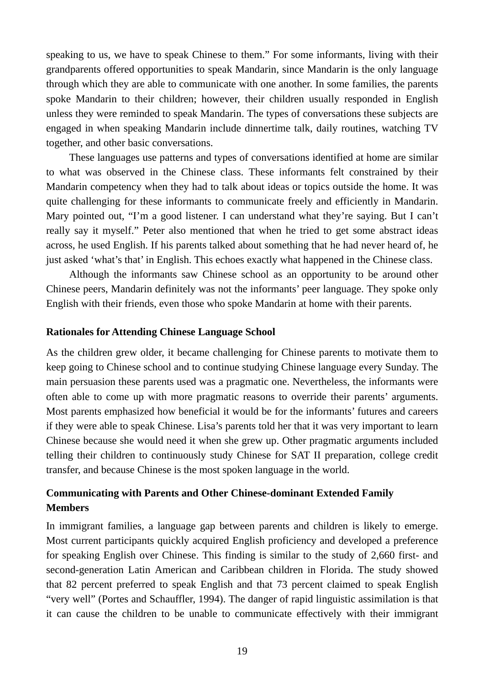speaking to us, we have to speak Chinese to them." For some informants, living with their grandparents offered opportunities to speak Mandarin, since Mandarin is the only language through which they are able to communicate with one another. In some families, the parents spoke Mandarin to their children; however, their children usually responded in English unless they were reminded to speak Mandarin. The types of conversations these subjects are engaged in when speaking Mandarin include dinnertime talk, daily routines, watching TV together, and other basic conversations.

These languages use patterns and types of conversations identified at home are similar to what was observed in the Chinese class. These informants felt constrained by their Mandarin competency when they had to talk about ideas or topics outside the home. It was quite challenging for these informants to communicate freely and efficiently in Mandarin. Mary pointed out, "I'm a good listener. I can understand what they're saying. But I can't really say it myself." Peter also mentioned that when he tried to get some abstract ideas across, he used English. If his parents talked about something that he had never heard of, he just asked 'what's that' in English. This echoes exactly what happened in the Chinese class.

Although the informants saw Chinese school as an opportunity to be around other Chinese peers, Mandarin definitely was not the informants' peer language. They spoke only English with their friends, even those who spoke Mandarin at home with their parents.

#### **Rationales for Attending Chinese Language School**

As the children grew older, it became challenging for Chinese parents to motivate them to keep going to Chinese school and to continue studying Chinese language every Sunday. The main persuasion these parents used was a pragmatic one. Nevertheless, the informants were often able to come up with more pragmatic reasons to override their parents' arguments. Most parents emphasized how beneficial it would be for the informants' futures and careers if they were able to speak Chinese. Lisa's parents told her that it was very important to learn Chinese because she would need it when she grew up. Other pragmatic arguments included telling their children to continuously study Chinese for SAT II preparation, college credit transfer, and because Chinese is the most spoken language in the world.

## **Communicating with Parents and Other Chinese-dominant Extended Family Members**

In immigrant families, a language gap between parents and children is likely to emerge. Most current participants quickly acquired English proficiency and developed a preference for speaking English over Chinese. This finding is similar to the study of 2,660 first- and second-generation Latin American and Caribbean children in Florida. The study showed that 82 percent preferred to speak English and that 73 percent claimed to speak English "very well" (Portes and Schauffler, 1994). The danger of rapid linguistic assimilation is that it can cause the children to be unable to communicate effectively with their immigrant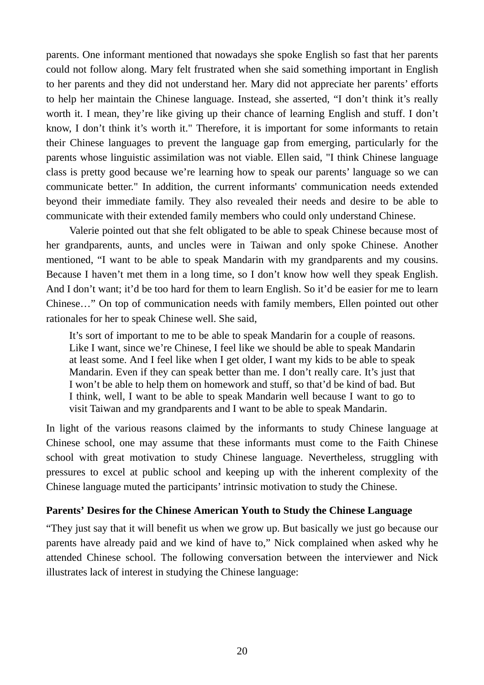parents. One informant mentioned that nowadays she spoke English so fast that her parents could not follow along. Mary felt frustrated when she said something important in English to her parents and they did not understand her. Mary did not appreciate her parents' efforts to help her maintain the Chinese language. Instead, she asserted, "I don't think it's really worth it. I mean, they're like giving up their chance of learning English and stuff. I don't know, I don't think it's worth it." Therefore, it is important for some informants to retain their Chinese languages to prevent the language gap from emerging, particularly for the parents whose linguistic assimilation was not viable. Ellen said, "I think Chinese language class is pretty good because we're learning how to speak our parents' language so we can communicate better." In addition, the current informants' communication needs extended beyond their immediate family. They also revealed their needs and desire to be able to communicate with their extended family members who could only understand Chinese.

Valerie pointed out that she felt obligated to be able to speak Chinese because most of her grandparents, aunts, and uncles were in Taiwan and only spoke Chinese. Another mentioned, "I want to be able to speak Mandarin with my grandparents and my cousins. Because I haven't met them in a long time, so I don't know how well they speak English. And I don't want; it'd be too hard for them to learn English. So it'd be easier for me to learn Chinese…" On top of communication needs with family members, Ellen pointed out other rationales for her to speak Chinese well. She said,

It's sort of important to me to be able to speak Mandarin for a couple of reasons. Like I want, since we're Chinese, I feel like we should be able to speak Mandarin at least some. And I feel like when I get older, I want my kids to be able to speak Mandarin. Even if they can speak better than me. I don't really care. It's just that I won't be able to help them on homework and stuff, so that'd be kind of bad. But I think, well, I want to be able to speak Mandarin well because I want to go to visit Taiwan and my grandparents and I want to be able to speak Mandarin.

In light of the various reasons claimed by the informants to study Chinese language at Chinese school, one may assume that these informants must come to the Faith Chinese school with great motivation to study Chinese language. Nevertheless, struggling with pressures to excel at public school and keeping up with the inherent complexity of the Chinese language muted the participants' intrinsic motivation to study the Chinese.

#### **Parents' Desires for the Chinese American Youth to Study the Chinese Language**

"They just say that it will benefit us when we grow up. But basically we just go because our parents have already paid and we kind of have to," Nick complained when asked why he attended Chinese school. The following conversation between the interviewer and Nick illustrates lack of interest in studying the Chinese language: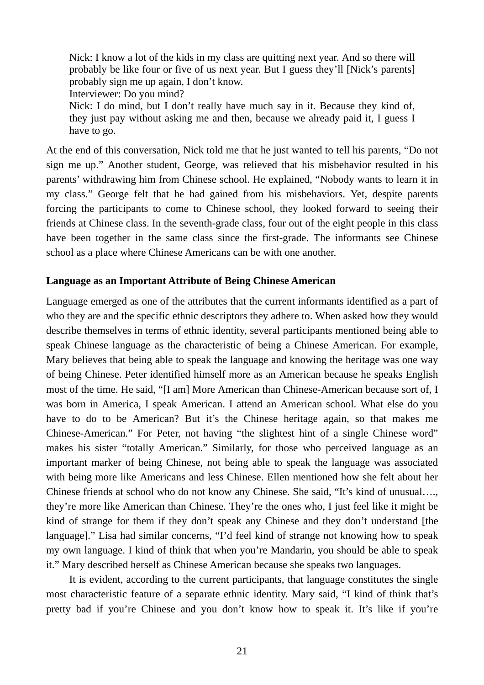Nick: I know a lot of the kids in my class are quitting next year. And so there will probably be like four or five of us next year. But I guess they'll [Nick's parents] probably sign me up again, I don't know. Interviewer: Do you mind? Nick: I do mind, but I don't really have much say in it. Because they kind of, they just pay without asking me and then, because we already paid it, I guess I have to go.

At the end of this conversation, Nick told me that he just wanted to tell his parents, "Do not sign me up." Another student, George, was relieved that his misbehavior resulted in his parents' withdrawing him from Chinese school. He explained, "Nobody wants to learn it in my class." George felt that he had gained from his misbehaviors. Yet, despite parents forcing the participants to come to Chinese school, they looked forward to seeing their friends at Chinese class. In the seventh-grade class, four out of the eight people in this class have been together in the same class since the first-grade. The informants see Chinese school as a place where Chinese Americans can be with one another.

#### **Language as an Important Attribute of Being Chinese American**

Language emerged as one of the attributes that the current informants identified as a part of who they are and the specific ethnic descriptors they adhere to. When asked how they would describe themselves in terms of ethnic identity, several participants mentioned being able to speak Chinese language as the characteristic of being a Chinese American. For example, Mary believes that being able to speak the language and knowing the heritage was one way of being Chinese. Peter identified himself more as an American because he speaks English most of the time. He said, "[I am] More American than Chinese-American because sort of, I was born in America, I speak American. I attend an American school. What else do you have to do to be American? But it's the Chinese heritage again, so that makes me Chinese-American." For Peter, not having "the slightest hint of a single Chinese word" makes his sister "totally American." Similarly, for those who perceived language as an important marker of being Chinese, not being able to speak the language was associated with being more like Americans and less Chinese. Ellen mentioned how she felt about her Chinese friends at school who do not know any Chinese. She said, "It's kind of unusual…., they're more like American than Chinese. They're the ones who, I just feel like it might be kind of strange for them if they don't speak any Chinese and they don't understand [the language]." Lisa had similar concerns, "I'd feel kind of strange not knowing how to speak my own language. I kind of think that when you're Mandarin, you should be able to speak it." Mary described herself as Chinese American because she speaks two languages.

It is evident, according to the current participants, that language constitutes the single most characteristic feature of a separate ethnic identity. Mary said, "I kind of think that's pretty bad if you're Chinese and you don't know how to speak it. It's like if you're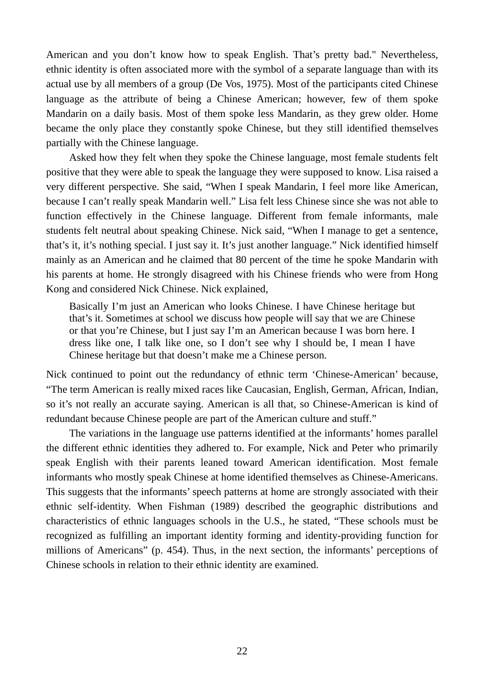American and you don't know how to speak English. That's pretty bad." Nevertheless, ethnic identity is often associated more with the symbol of a separate language than with its actual use by all members of a group (De Vos, 1975). Most of the participants cited Chinese language as the attribute of being a Chinese American; however, few of them spoke Mandarin on a daily basis. Most of them spoke less Mandarin, as they grew older. Home became the only place they constantly spoke Chinese, but they still identified themselves partially with the Chinese language.

Asked how they felt when they spoke the Chinese language, most female students felt positive that they were able to speak the language they were supposed to know. Lisa raised a very different perspective. She said, "When I speak Mandarin, I feel more like American, because I can't really speak Mandarin well." Lisa felt less Chinese since she was not able to function effectively in the Chinese language. Different from female informants, male students felt neutral about speaking Chinese. Nick said, "When I manage to get a sentence, that's it, it's nothing special. I just say it. It's just another language." Nick identified himself mainly as an American and he claimed that 80 percent of the time he spoke Mandarin with his parents at home. He strongly disagreed with his Chinese friends who were from Hong Kong and considered Nick Chinese. Nick explained,

Basically I'm just an American who looks Chinese. I have Chinese heritage but that's it. Sometimes at school we discuss how people will say that we are Chinese or that you're Chinese, but I just say I'm an American because I was born here. I dress like one, I talk like one, so I don't see why I should be, I mean I have Chinese heritage but that doesn't make me a Chinese person.

Nick continued to point out the redundancy of ethnic term 'Chinese-American' because, "The term American is really mixed races like Caucasian, English, German, African, Indian, so it's not really an accurate saying. American is all that, so Chinese-American is kind of redundant because Chinese people are part of the American culture and stuff."

The variations in the language use patterns identified at the informants' homes parallel the different ethnic identities they adhered to. For example, Nick and Peter who primarily speak English with their parents leaned toward American identification. Most female informants who mostly speak Chinese at home identified themselves as Chinese-Americans. This suggests that the informants' speech patterns at home are strongly associated with their ethnic self-identity. When Fishman (1989) described the geographic distributions and characteristics of ethnic languages schools in the U.S., he stated, "These schools must be recognized as fulfilling an important identity forming and identity-providing function for millions of Americans" (p. 454). Thus, in the next section, the informants' perceptions of Chinese schools in relation to their ethnic identity are examined.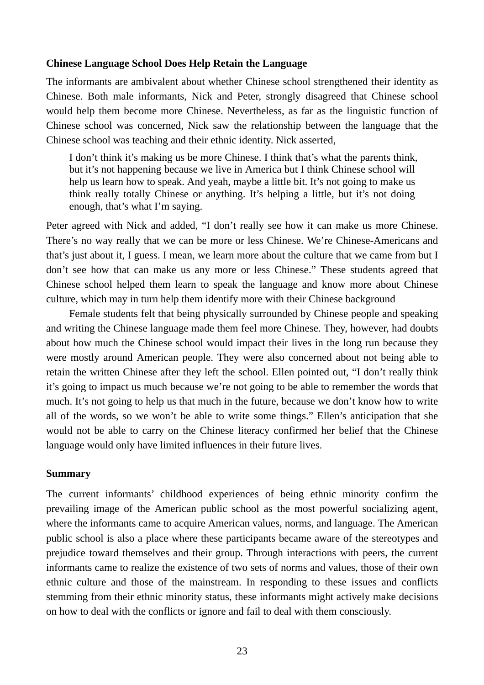#### **Chinese Language School Does Help Retain the Language**

The informants are ambivalent about whether Chinese school strengthened their identity as Chinese. Both male informants, Nick and Peter, strongly disagreed that Chinese school would help them become more Chinese. Nevertheless, as far as the linguistic function of Chinese school was concerned, Nick saw the relationship between the language that the Chinese school was teaching and their ethnic identity. Nick asserted,

I don't think it's making us be more Chinese. I think that's what the parents think, but it's not happening because we live in America but I think Chinese school will help us learn how to speak. And yeah, maybe a little bit. It's not going to make us think really totally Chinese or anything. It's helping a little, but it's not doing enough, that's what I'm saying.

Peter agreed with Nick and added, "I don't really see how it can make us more Chinese. There's no way really that we can be more or less Chinese. We're Chinese-Americans and that's just about it, I guess. I mean, we learn more about the culture that we came from but I don't see how that can make us any more or less Chinese." These students agreed that Chinese school helped them learn to speak the language and know more about Chinese culture, which may in turn help them identify more with their Chinese background

Female students felt that being physically surrounded by Chinese people and speaking and writing the Chinese language made them feel more Chinese. They, however, had doubts about how much the Chinese school would impact their lives in the long run because they were mostly around American people. They were also concerned about not being able to retain the written Chinese after they left the school. Ellen pointed out, "I don't really think it's going to impact us much because we're not going to be able to remember the words that much. It's not going to help us that much in the future, because we don't know how to write all of the words, so we won't be able to write some things." Ellen's anticipation that she would not be able to carry on the Chinese literacy confirmed her belief that the Chinese language would only have limited influences in their future lives.

#### **Summary**

The current informants' childhood experiences of being ethnic minority confirm the prevailing image of the American public school as the most powerful socializing agent, where the informants came to acquire American values, norms, and language. The American public school is also a place where these participants became aware of the stereotypes and prejudice toward themselves and their group. Through interactions with peers, the current informants came to realize the existence of two sets of norms and values, those of their own ethnic culture and those of the mainstream. In responding to these issues and conflicts stemming from their ethnic minority status, these informants might actively make decisions on how to deal with the conflicts or ignore and fail to deal with them consciously.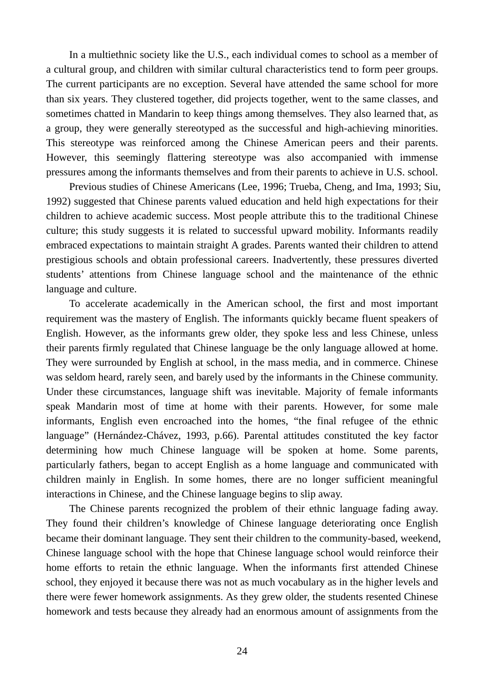In a multiethnic society like the U.S., each individual comes to school as a member of a cultural group, and children with similar cultural characteristics tend to form peer groups. The current participants are no exception. Several have attended the same school for more than six years. They clustered together, did projects together, went to the same classes, and sometimes chatted in Mandarin to keep things among themselves. They also learned that, as a group, they were generally stereotyped as the successful and high-achieving minorities. This stereotype was reinforced among the Chinese American peers and their parents. However, this seemingly flattering stereotype was also accompanied with immense pressures among the informants themselves and from their parents to achieve in U.S. school.

Previous studies of Chinese Americans (Lee, 1996; Trueba, Cheng, and Ima, 1993; Siu, 1992) suggested that Chinese parents valued education and held high expectations for their children to achieve academic success. Most people attribute this to the traditional Chinese culture; this study suggests it is related to successful upward mobility. Informants readily embraced expectations to maintain straight A grades. Parents wanted their children to attend prestigious schools and obtain professional careers. Inadvertently, these pressures diverted students' attentions from Chinese language school and the maintenance of the ethnic language and culture.

To accelerate academically in the American school, the first and most important requirement was the mastery of English. The informants quickly became fluent speakers of English. However, as the informants grew older, they spoke less and less Chinese, unless their parents firmly regulated that Chinese language be the only language allowed at home. They were surrounded by English at school, in the mass media, and in commerce. Chinese was seldom heard, rarely seen, and barely used by the informants in the Chinese community. Under these circumstances, language shift was inevitable. Majority of female informants speak Mandarin most of time at home with their parents. However, for some male informants, English even encroached into the homes, "the final refugee of the ethnic language" (Hernández-Chávez, 1993, p.66). Parental attitudes constituted the key factor determining how much Chinese language will be spoken at home. Some parents, particularly fathers, began to accept English as a home language and communicated with children mainly in English. In some homes, there are no longer sufficient meaningful interactions in Chinese, and the Chinese language begins to slip away.

The Chinese parents recognized the problem of their ethnic language fading away. They found their children's knowledge of Chinese language deteriorating once English became their dominant language. They sent their children to the community-based, weekend, Chinese language school with the hope that Chinese language school would reinforce their home efforts to retain the ethnic language. When the informants first attended Chinese school, they enjoyed it because there was not as much vocabulary as in the higher levels and there were fewer homework assignments. As they grew older, the students resented Chinese homework and tests because they already had an enormous amount of assignments from the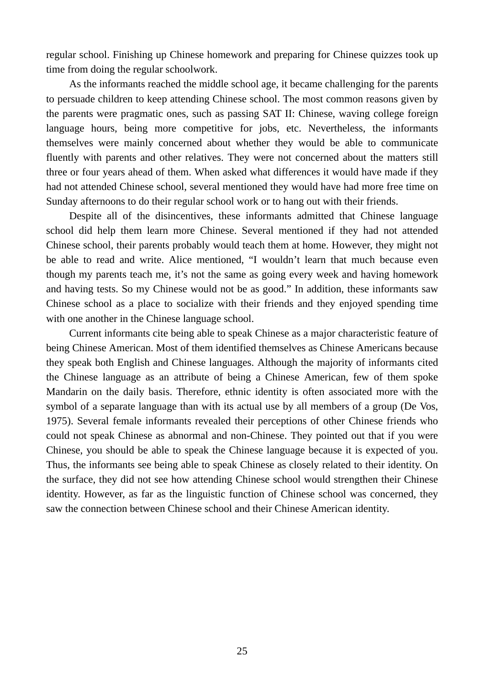regular school. Finishing up Chinese homework and preparing for Chinese quizzes took up time from doing the regular schoolwork.

As the informants reached the middle school age, it became challenging for the parents to persuade children to keep attending Chinese school. The most common reasons given by the parents were pragmatic ones, such as passing SAT II: Chinese, waving college foreign language hours, being more competitive for jobs, etc. Nevertheless, the informants themselves were mainly concerned about whether they would be able to communicate fluently with parents and other relatives. They were not concerned about the matters still three or four years ahead of them. When asked what differences it would have made if they had not attended Chinese school, several mentioned they would have had more free time on Sunday afternoons to do their regular school work or to hang out with their friends.

Despite all of the disincentives, these informants admitted that Chinese language school did help them learn more Chinese. Several mentioned if they had not attended Chinese school, their parents probably would teach them at home. However, they might not be able to read and write. Alice mentioned, "I wouldn't learn that much because even though my parents teach me, it's not the same as going every week and having homework and having tests. So my Chinese would not be as good." In addition, these informants saw Chinese school as a place to socialize with their friends and they enjoyed spending time with one another in the Chinese language school.

Current informants cite being able to speak Chinese as a major characteristic feature of being Chinese American. Most of them identified themselves as Chinese Americans because they speak both English and Chinese languages. Although the majority of informants cited the Chinese language as an attribute of being a Chinese American, few of them spoke Mandarin on the daily basis. Therefore, ethnic identity is often associated more with the symbol of a separate language than with its actual use by all members of a group (De Vos, 1975). Several female informants revealed their perceptions of other Chinese friends who could not speak Chinese as abnormal and non-Chinese. They pointed out that if you were Chinese, you should be able to speak the Chinese language because it is expected of you. Thus, the informants see being able to speak Chinese as closely related to their identity. On the surface, they did not see how attending Chinese school would strengthen their Chinese identity. However, as far as the linguistic function of Chinese school was concerned, they saw the connection between Chinese school and their Chinese American identity.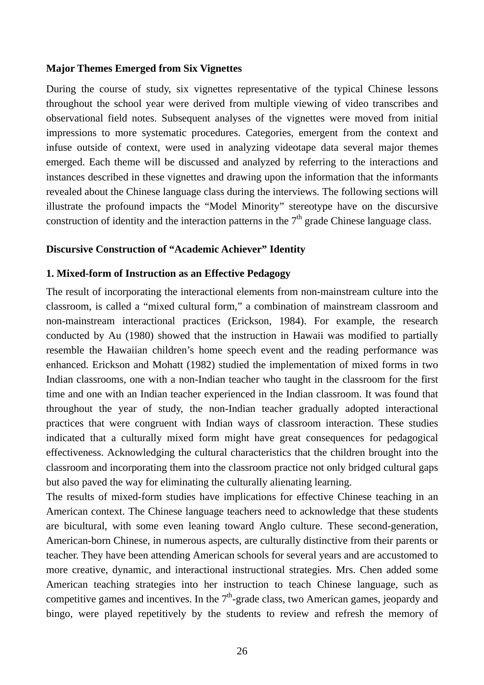#### **Major Themes Emerged from Six Vignettes**

During the course of study, six vignettes representative of the typical Chinese lessons throughout the school year were derived from multiple viewing of video transcribes and observational field notes. Subsequent analyses of the vignettes were moved from initial impressions to more systematic procedures. Categories, emergent from the context and infuse outside of context, were used in analyzing videotape data several major themes emerged. Each theme will be discussed and analyzed by referring to the interactions and instances described in these vignettes and drawing upon the information that the informants revealed about the Chinese language class during the interviews. The following sections will illustrate the profound impacts the "Model Minority" stereotype have on the discursive construction of identity and the interaction patterns in the  $7<sup>th</sup>$  grade Chinese language class.

#### **Discursive Construction of "Academic Achiever" Identity**

#### **1. Mixed-form of Instruction as an Effective Pedagogy**

The result of incorporating the interactional elements from non-mainstream culture into the classroom, is called a "mixed cultural form," a combination of mainstream classroom and non-mainstream interactional practices (Erickson, 1984). For example, the research conducted by Au (1980) showed that the instruction in Hawaii was modified to partially resemble the Hawaiian children's home speech event and the reading performance was enhanced. Erickson and Mohatt (1982) studied the implementation of mixed forms in two Indian classrooms, one with a non-Indian teacher who taught in the classroom for the first time and one with an Indian teacher experienced in the Indian classroom. It was found that throughout the year of study, the non-Indian teacher gradually adopted interactional practices that were congruent with Indian ways of classroom interaction. These studies indicated that a culturally mixed form might have great consequences for pedagogical effectiveness. Acknowledging the cultural characteristics that the children brought into the classroom and incorporating them into the classroom practice not only bridged cultural gaps but also paved the way for eliminating the culturally alienating learning.

The results of mixed-form studies have implications for effective Chinese teaching in an American context. The Chinese language teachers need to acknowledge that these students are bicultural, with some even leaning toward Anglo culture. These second-generation, American-born Chinese, in numerous aspects, are culturally distinctive from their parents or teacher. They have been attending American schools for several years and are accustomed to more creative, dynamic, and interactional instructional strategies. Mrs. Chen added some American teaching strategies into her instruction to teach Chinese language, such as competitive games and incentives. In the  $7<sup>th</sup>$ -grade class, two American games, jeopardy and bingo, were played repetitively by the students to review and refresh the memory of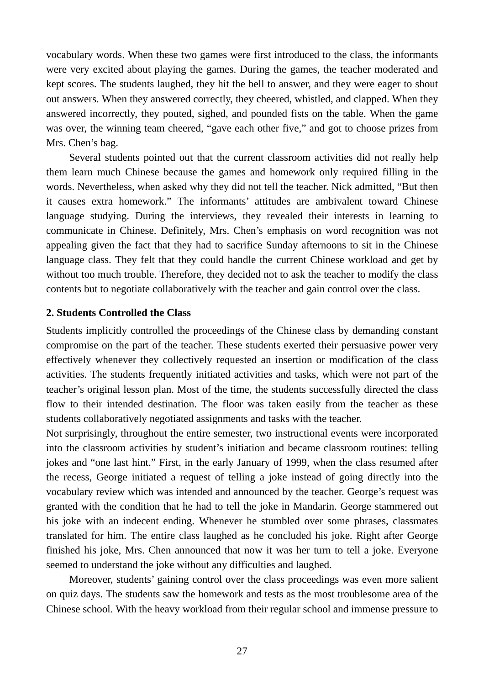vocabulary words. When these two games were first introduced to the class, the informants were very excited about playing the games. During the games, the teacher moderated and kept scores. The students laughed, they hit the bell to answer, and they were eager to shout out answers. When they answered correctly, they cheered, whistled, and clapped. When they answered incorrectly, they pouted, sighed, and pounded fists on the table. When the game was over, the winning team cheered, "gave each other five," and got to choose prizes from Mrs. Chen's bag.

Several students pointed out that the current classroom activities did not really help them learn much Chinese because the games and homework only required filling in the words. Nevertheless, when asked why they did not tell the teacher. Nick admitted, "But then it causes extra homework." The informants' attitudes are ambivalent toward Chinese language studying. During the interviews, they revealed their interests in learning to communicate in Chinese. Definitely, Mrs. Chen's emphasis on word recognition was not appealing given the fact that they had to sacrifice Sunday afternoons to sit in the Chinese language class. They felt that they could handle the current Chinese workload and get by without too much trouble. Therefore, they decided not to ask the teacher to modify the class contents but to negotiate collaboratively with the teacher and gain control over the class.

#### **2. Students Controlled the Class**

Students implicitly controlled the proceedings of the Chinese class by demanding constant compromise on the part of the teacher. These students exerted their persuasive power very effectively whenever they collectively requested an insertion or modification of the class activities. The students frequently initiated activities and tasks, which were not part of the teacher's original lesson plan. Most of the time, the students successfully directed the class flow to their intended destination. The floor was taken easily from the teacher as these students collaboratively negotiated assignments and tasks with the teacher.

Not surprisingly, throughout the entire semester, two instructional events were incorporated into the classroom activities by student's initiation and became classroom routines: telling jokes and "one last hint." First, in the early January of 1999, when the class resumed after the recess, George initiated a request of telling a joke instead of going directly into the vocabulary review which was intended and announced by the teacher. George's request was granted with the condition that he had to tell the joke in Mandarin. George stammered out his joke with an indecent ending. Whenever he stumbled over some phrases, classmates translated for him. The entire class laughed as he concluded his joke. Right after George finished his joke, Mrs. Chen announced that now it was her turn to tell a joke. Everyone seemed to understand the joke without any difficulties and laughed.

Moreover, students' gaining control over the class proceedings was even more salient on quiz days. The students saw the homework and tests as the most troublesome area of the Chinese school. With the heavy workload from their regular school and immense pressure to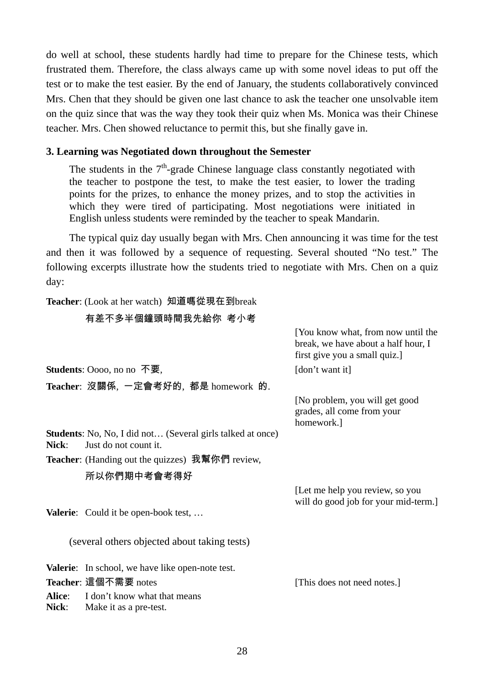do well at school, these students hardly had time to prepare for the Chinese tests, which frustrated them. Therefore, the class always came up with some novel ideas to put off the test or to make the test easier. By the end of January, the students collaboratively convinced Mrs. Chen that they should be given one last chance to ask the teacher one unsolvable item on the quiz since that was the way they took their quiz when Ms. Monica was their Chinese teacher. Mrs. Chen showed reluctance to permit this, but she finally gave in.

## **3. Learning was Negotiated down throughout the Semester**

The students in the  $7<sup>th</sup>$ -grade Chinese language class constantly negotiated with the teacher to postpone the test, to make the test easier, to lower the trading points for the prizes, to enhance the money prizes, and to stop the activities in which they were tired of participating. Most negotiations were initiated in English unless students were reminded by the teacher to speak Mandarin.

The typical quiz day usually began with Mrs. Chen announcing it was time for the test and then it was followed by a sequence of requesting. Several shouted "No test." The following excerpts illustrate how the students tried to negotiate with Mrs. Chen on a quiz day:

> [You know what, from now until the break, we have about a half hour, I

**Teacher**: (Look at her watch) 知道嗎從現在到break 有差不多半個鐘頭時間我先給你 考小考

|                        |                                                                                     | first give you a small quiz.]                                              |
|------------------------|-------------------------------------------------------------------------------------|----------------------------------------------------------------------------|
|                        | <b>Students:</b> Oooo, no no 不要,                                                    | [don't want it]                                                            |
|                        | Teacher: 沒關係,一定會考好的,都是 homework 的.                                                  |                                                                            |
|                        |                                                                                     | [No problem, you will get good<br>grades, all come from your<br>homework.] |
| Nick:                  | Students: No, No, I did not (Several girls talked at once)<br>Just do not count it. |                                                                            |
|                        | <b>Teacher:</b> (Handing out the quizzes) 我幫你們 review,                              |                                                                            |
|                        | 所以你們期中考會考得好                                                                         |                                                                            |
|                        |                                                                                     | [Let me help you review, so you<br>will do good job for your mid-term.]    |
|                        | <b>Valerie:</b> Could it be open-book test,                                         |                                                                            |
|                        | (several others objected about taking tests)                                        |                                                                            |
|                        | <b>Valerie:</b> In school, we have like open-note test.                             |                                                                            |
|                        | Teacher: 這個不需要 notes                                                                | [This does not need notes.]                                                |
| Alice:<br><b>Nick:</b> | I don't know what that means<br>Make it as a pre-test.                              |                                                                            |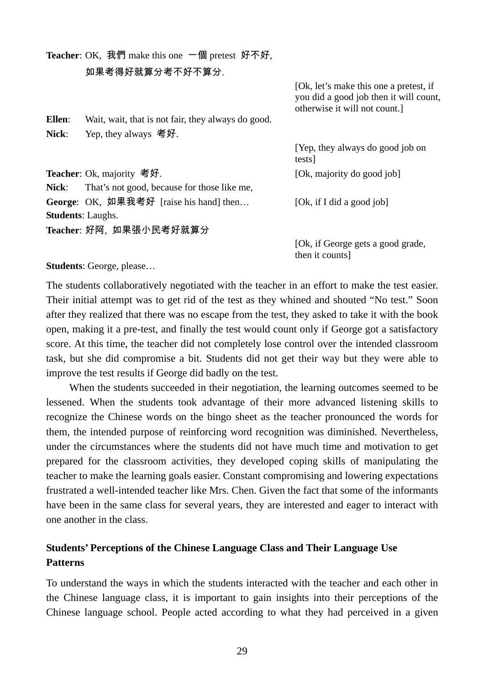**Teacher**: OK, 我們 make this one 一個 pretest 好不好, 如果考得好就算分考不好不算分. [Ok, let's make this one a pretest, if you did a good job then it will count, otherwise it will not count.] **Ellen**: Wait, wait, that is not fair, they always do good. **Nick**: Yep, they always 考好. [Yep, they always do good job on tests] **Teacher**: Ok, majority 考好. (Ok, majority do good job] **Nick**: That's not good, because for those like me, George: OK, 如果我考好 [raise his hand] then... [Ok, if I did a good job]

**Students**: Laughs. **Teacher**: 好阿, 如果張小民考好就算分

> [Ok, if George gets a good grade, then it counts]

**Students**: George, please…

The students collaboratively negotiated with the teacher in an effort to make the test easier. Their initial attempt was to get rid of the test as they whined and shouted "No test." Soon after they realized that there was no escape from the test, they asked to take it with the book open, making it a pre-test, and finally the test would count only if George got a satisfactory score. At this time, the teacher did not completely lose control over the intended classroom task, but she did compromise a bit. Students did not get their way but they were able to improve the test results if George did badly on the test.

When the students succeeded in their negotiation, the learning outcomes seemed to be lessened. When the students took advantage of their more advanced listening skills to recognize the Chinese words on the bingo sheet as the teacher pronounced the words for them, the intended purpose of reinforcing word recognition was diminished. Nevertheless, under the circumstances where the students did not have much time and motivation to get prepared for the classroom activities, they developed coping skills of manipulating the teacher to make the learning goals easier. Constant compromising and lowering expectations frustrated a well-intended teacher like Mrs. Chen. Given the fact that some of the informants have been in the same class for several years, they are interested and eager to interact with one another in the class.

## **Students' Perceptions of the Chinese Language Class and Their Language Use Patterns**

To understand the ways in which the students interacted with the teacher and each other in the Chinese language class, it is important to gain insights into their perceptions of the Chinese language school. People acted according to what they had perceived in a given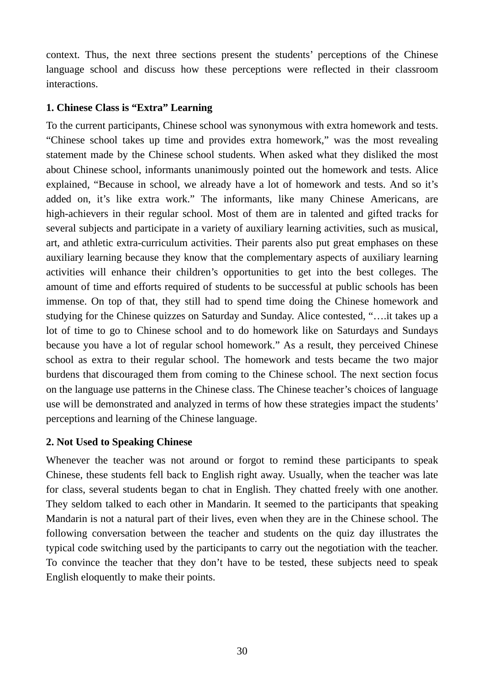context. Thus, the next three sections present the students' perceptions of the Chinese language school and discuss how these perceptions were reflected in their classroom interactions.

## **1. Chinese Class is "Extra" Learning**

To the current participants, Chinese school was synonymous with extra homework and tests. "Chinese school takes up time and provides extra homework," was the most revealing statement made by the Chinese school students. When asked what they disliked the most about Chinese school, informants unanimously pointed out the homework and tests. Alice explained, "Because in school, we already have a lot of homework and tests. And so it's added on, it's like extra work." The informants, like many Chinese Americans, are high-achievers in their regular school. Most of them are in talented and gifted tracks for several subjects and participate in a variety of auxiliary learning activities, such as musical, art, and athletic extra-curriculum activities. Their parents also put great emphases on these auxiliary learning because they know that the complementary aspects of auxiliary learning activities will enhance their children's opportunities to get into the best colleges. The amount of time and efforts required of students to be successful at public schools has been immense. On top of that, they still had to spend time doing the Chinese homework and studying for the Chinese quizzes on Saturday and Sunday. Alice contested, "….it takes up a lot of time to go to Chinese school and to do homework like on Saturdays and Sundays because you have a lot of regular school homework." As a result, they perceived Chinese school as extra to their regular school. The homework and tests became the two major burdens that discouraged them from coming to the Chinese school. The next section focus on the language use patterns in the Chinese class. The Chinese teacher's choices of language use will be demonstrated and analyzed in terms of how these strategies impact the students' perceptions and learning of the Chinese language.

## **2. Not Used to Speaking Chinese**

Whenever the teacher was not around or forgot to remind these participants to speak Chinese, these students fell back to English right away. Usually, when the teacher was late for class, several students began to chat in English. They chatted freely with one another. They seldom talked to each other in Mandarin. It seemed to the participants that speaking Mandarin is not a natural part of their lives, even when they are in the Chinese school. The following conversation between the teacher and students on the quiz day illustrates the typical code switching used by the participants to carry out the negotiation with the teacher. To convince the teacher that they don't have to be tested, these subjects need to speak English eloquently to make their points.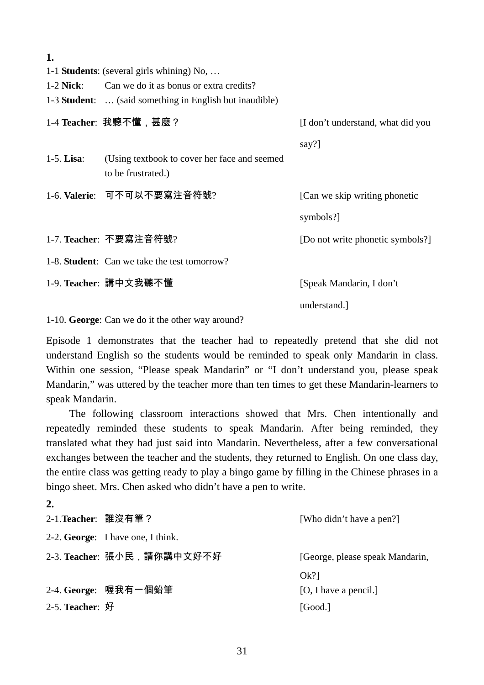| I |        |
|---|--------|
|   | $\sim$ |

- 1-1 **Students**: (several girls whining) No, …
- 1-2 **Nick**: Can we do it as bonus or extra credits?
- 1-3 **Student**: … (said something in English but inaudible)

|               | 1-4 Teacher: 我聽不懂, 甚麼?                                              | [I don't understand, what did you |
|---------------|---------------------------------------------------------------------|-----------------------------------|
|               |                                                                     | say?]                             |
| $1-5$ . Lisa: | (Using textbook to cover her face and seemed)<br>to be frustrated.) |                                   |
|               | 1-6. Valerie: 可不可以不要寫注音符號?                                          | [Can we skip writing phonetic]    |
|               |                                                                     | symbols?]                         |
|               | 1-7. Teacher: 不要寫注音符號?                                              | [Do not write phonetic symbols?]  |
|               | 1-8. <b>Student</b> : Can we take the test tomorrow?                |                                   |
|               | 1-9. Teacher: 講中文我聽不懂                                               | [Speak Mandarin, I don't          |
|               |                                                                     | understand.                       |

1-10. **George**: Can we do it the other way around?

Episode 1 demonstrates that the teacher had to repeatedly pretend that she did not understand English so the students would be reminded to speak only Mandarin in class. Within one session, "Please speak Mandarin" or "I don't understand you, please speak Mandarin," was uttered by the teacher more than ten times to get these Mandarin-learners to speak Mandarin.

The following classroom interactions showed that Mrs. Chen intentionally and repeatedly reminded these students to speak Mandarin. After being reminded, they translated what they had just said into Mandarin. Nevertheless, after a few conversational exchanges between the teacher and the students, they returned to English. On one class day, the entire class was getting ready to play a bingo game by filling in the Chinese phrases in a bingo sheet. Mrs. Chen asked who didn't have a pen to write.

| 2.                  |                                   |                                 |
|---------------------|-----------------------------------|---------------------------------|
| 2-1. Teacher: 誰沒有筆? |                                   | [Who didn't have a pen?]        |
|                     | 2-2. George: I have one, I think. |                                 |
|                     | 2-3. Teacher: 張小民, 請你講中文好不好       | [George, please speak Mandarin, |
|                     |                                   | $Ok$ ?]                         |
|                     | 2-4. George: 喔我有一個鉛筆              | [O, I have a pencil.]           |
| $2-5.$ Teacher: 好   |                                   | [Good.]                         |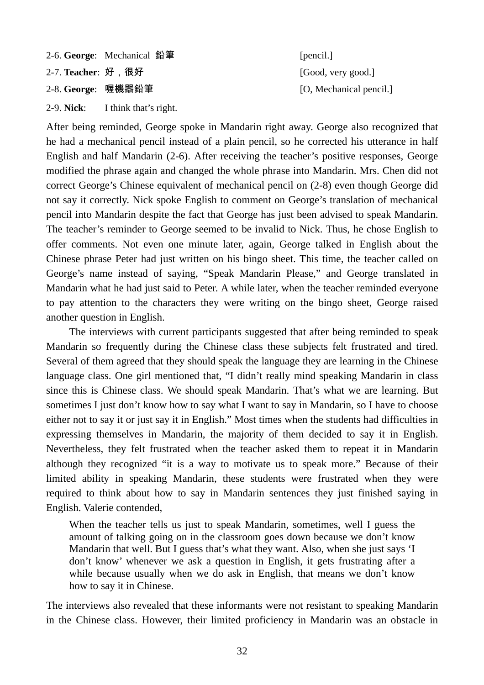2-6. **George**: Mechanical 鉛筆 [pencil.] 2-7. **Teacher**: 好,很好 [Good, very good.]

2-9. **Nick**: I think that's right.

2-8. **George:** 喔機器鉛筆 [O, Mechanical pencil.]

After being reminded, George spoke in Mandarin right away. George also recognized that he had a mechanical pencil instead of a plain pencil, so he corrected his utterance in half English and half Mandarin (2-6). After receiving the teacher's positive responses, George modified the phrase again and changed the whole phrase into Mandarin. Mrs. Chen did not correct George's Chinese equivalent of mechanical pencil on (2-8) even though George did not say it correctly. Nick spoke English to comment on George's translation of mechanical pencil into Mandarin despite the fact that George has just been advised to speak Mandarin. The teacher's reminder to George seemed to be invalid to Nick. Thus, he chose English to offer comments. Not even one minute later, again, George talked in English about the Chinese phrase Peter had just written on his bingo sheet. This time, the teacher called on George's name instead of saying, "Speak Mandarin Please," and George translated in Mandarin what he had just said to Peter. A while later, when the teacher reminded everyone to pay attention to the characters they were writing on the bingo sheet, George raised another question in English.

The interviews with current participants suggested that after being reminded to speak Mandarin so frequently during the Chinese class these subjects felt frustrated and tired. Several of them agreed that they should speak the language they are learning in the Chinese language class. One girl mentioned that, "I didn't really mind speaking Mandarin in class since this is Chinese class. We should speak Mandarin. That's what we are learning. But sometimes I just don't know how to say what I want to say in Mandarin, so I have to choose either not to say it or just say it in English." Most times when the students had difficulties in expressing themselves in Mandarin, the majority of them decided to say it in English. Nevertheless, they felt frustrated when the teacher asked them to repeat it in Mandarin although they recognized "it is a way to motivate us to speak more." Because of their limited ability in speaking Mandarin, these students were frustrated when they were required to think about how to say in Mandarin sentences they just finished saying in English. Valerie contended,

When the teacher tells us just to speak Mandarin, sometimes, well I guess the amount of talking going on in the classroom goes down because we don't know Mandarin that well. But I guess that's what they want. Also, when she just says 'I don't know' whenever we ask a question in English, it gets frustrating after a while because usually when we do ask in English, that means we don't know how to say it in Chinese.

The interviews also revealed that these informants were not resistant to speaking Mandarin in the Chinese class. However, their limited proficiency in Mandarin was an obstacle in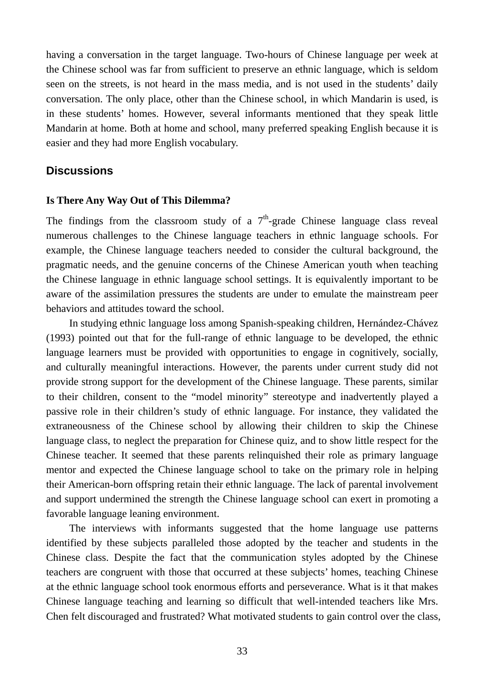having a conversation in the target language. Two-hours of Chinese language per week at the Chinese school was far from sufficient to preserve an ethnic language, which is seldom seen on the streets, is not heard in the mass media, and is not used in the students' daily conversation. The only place, other than the Chinese school, in which Mandarin is used, is in these students' homes. However, several informants mentioned that they speak little Mandarin at home. Both at home and school, many preferred speaking English because it is easier and they had more English vocabulary.

## **Discussions**

#### **Is There Any Way Out of This Dilemma?**

The findings from the classroom study of a  $7<sup>th</sup>$ -grade Chinese language class reveal numerous challenges to the Chinese language teachers in ethnic language schools. For example, the Chinese language teachers needed to consider the cultural background, the pragmatic needs, and the genuine concerns of the Chinese American youth when teaching the Chinese language in ethnic language school settings. It is equivalently important to be aware of the assimilation pressures the students are under to emulate the mainstream peer behaviors and attitudes toward the school.

In studying ethnic language loss among Spanish-speaking children, Hernández-Chávez (1993) pointed out that for the full-range of ethnic language to be developed, the ethnic language learners must be provided with opportunities to engage in cognitively, socially, and culturally meaningful interactions. However, the parents under current study did not provide strong support for the development of the Chinese language. These parents, similar to their children, consent to the "model minority" stereotype and inadvertently played a passive role in their children's study of ethnic language. For instance, they validated the extraneousness of the Chinese school by allowing their children to skip the Chinese language class, to neglect the preparation for Chinese quiz, and to show little respect for the Chinese teacher. It seemed that these parents relinquished their role as primary language mentor and expected the Chinese language school to take on the primary role in helping their American-born offspring retain their ethnic language. The lack of parental involvement and support undermined the strength the Chinese language school can exert in promoting a favorable language leaning environment.

The interviews with informants suggested that the home language use patterns identified by these subjects paralleled those adopted by the teacher and students in the Chinese class. Despite the fact that the communication styles adopted by the Chinese teachers are congruent with those that occurred at these subjects' homes, teaching Chinese at the ethnic language school took enormous efforts and perseverance. What is it that makes Chinese language teaching and learning so difficult that well-intended teachers like Mrs. Chen felt discouraged and frustrated? What motivated students to gain control over the class,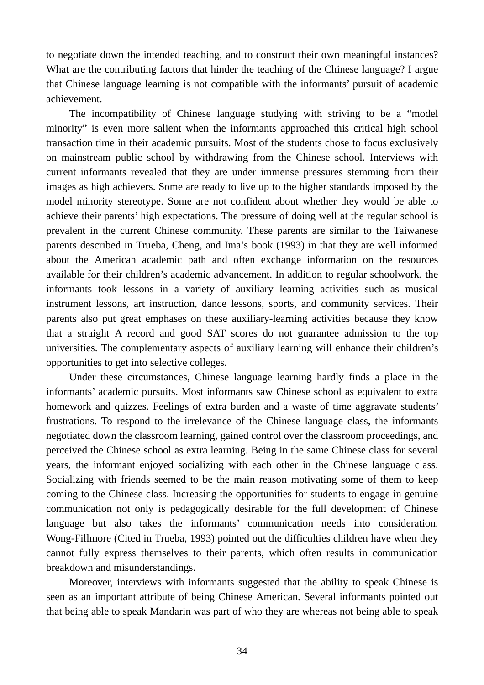to negotiate down the intended teaching, and to construct their own meaningful instances? What are the contributing factors that hinder the teaching of the Chinese language? I argue that Chinese language learning is not compatible with the informants' pursuit of academic achievement.

The incompatibility of Chinese language studying with striving to be a "model minority" is even more salient when the informants approached this critical high school transaction time in their academic pursuits. Most of the students chose to focus exclusively on mainstream public school by withdrawing from the Chinese school. Interviews with current informants revealed that they are under immense pressures stemming from their images as high achievers. Some are ready to live up to the higher standards imposed by the model minority stereotype. Some are not confident about whether they would be able to achieve their parents' high expectations. The pressure of doing well at the regular school is prevalent in the current Chinese community. These parents are similar to the Taiwanese parents described in Trueba, Cheng, and Ima's book (1993) in that they are well informed about the American academic path and often exchange information on the resources available for their children's academic advancement. In addition to regular schoolwork, the informants took lessons in a variety of auxiliary learning activities such as musical instrument lessons, art instruction, dance lessons, sports, and community services. Their parents also put great emphases on these auxiliary-learning activities because they know that a straight A record and good SAT scores do not guarantee admission to the top universities. The complementary aspects of auxiliary learning will enhance their children's opportunities to get into selective colleges.

Under these circumstances, Chinese language learning hardly finds a place in the informants' academic pursuits. Most informants saw Chinese school as equivalent to extra homework and quizzes. Feelings of extra burden and a waste of time aggravate students' frustrations. To respond to the irrelevance of the Chinese language class, the informants negotiated down the classroom learning, gained control over the classroom proceedings, and perceived the Chinese school as extra learning. Being in the same Chinese class for several years, the informant enjoyed socializing with each other in the Chinese language class. Socializing with friends seemed to be the main reason motivating some of them to keep coming to the Chinese class. Increasing the opportunities for students to engage in genuine communication not only is pedagogically desirable for the full development of Chinese language but also takes the informants' communication needs into consideration. Wong-Fillmore (Cited in Trueba, 1993) pointed out the difficulties children have when they cannot fully express themselves to their parents, which often results in communication breakdown and misunderstandings.

Moreover, interviews with informants suggested that the ability to speak Chinese is seen as an important attribute of being Chinese American. Several informants pointed out that being able to speak Mandarin was part of who they are whereas not being able to speak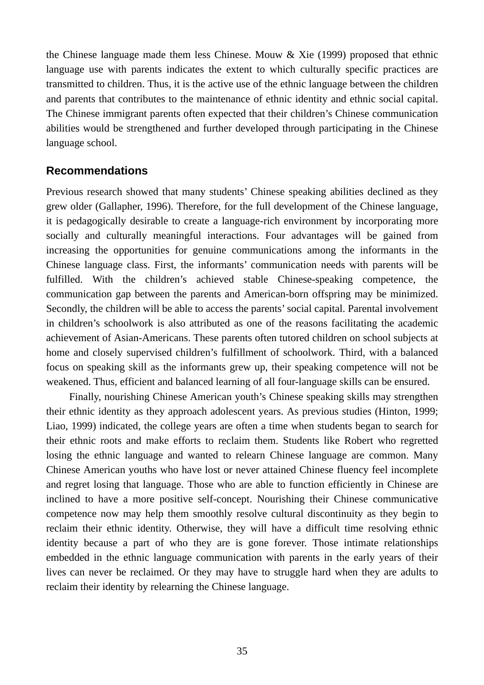the Chinese language made them less Chinese. Mouw & Xie (1999) proposed that ethnic language use with parents indicates the extent to which culturally specific practices are transmitted to children. Thus, it is the active use of the ethnic language between the children and parents that contributes to the maintenance of ethnic identity and ethnic social capital. The Chinese immigrant parents often expected that their children's Chinese communication abilities would be strengthened and further developed through participating in the Chinese language school.

## **Recommendations**

Previous research showed that many students' Chinese speaking abilities declined as they grew older (Gallapher, 1996). Therefore, for the full development of the Chinese language, it is pedagogically desirable to create a language-rich environment by incorporating more socially and culturally meaningful interactions. Four advantages will be gained from increasing the opportunities for genuine communications among the informants in the Chinese language class. First, the informants' communication needs with parents will be fulfilled. With the children's achieved stable Chinese-speaking competence, the communication gap between the parents and American-born offspring may be minimized. Secondly, the children will be able to access the parents' social capital. Parental involvement in children's schoolwork is also attributed as one of the reasons facilitating the academic achievement of Asian-Americans. These parents often tutored children on school subjects at home and closely supervised children's fulfillment of schoolwork. Third, with a balanced focus on speaking skill as the informants grew up, their speaking competence will not be weakened. Thus, efficient and balanced learning of all four-language skills can be ensured.

Finally, nourishing Chinese American youth's Chinese speaking skills may strengthen their ethnic identity as they approach adolescent years. As previous studies (Hinton, 1999; Liao, 1999) indicated, the college years are often a time when students began to search for their ethnic roots and make efforts to reclaim them. Students like Robert who regretted losing the ethnic language and wanted to relearn Chinese language are common. Many Chinese American youths who have lost or never attained Chinese fluency feel incomplete and regret losing that language. Those who are able to function efficiently in Chinese are inclined to have a more positive self-concept. Nourishing their Chinese communicative competence now may help them smoothly resolve cultural discontinuity as they begin to reclaim their ethnic identity. Otherwise, they will have a difficult time resolving ethnic identity because a part of who they are is gone forever. Those intimate relationships embedded in the ethnic language communication with parents in the early years of their lives can never be reclaimed. Or they may have to struggle hard when they are adults to reclaim their identity by relearning the Chinese language.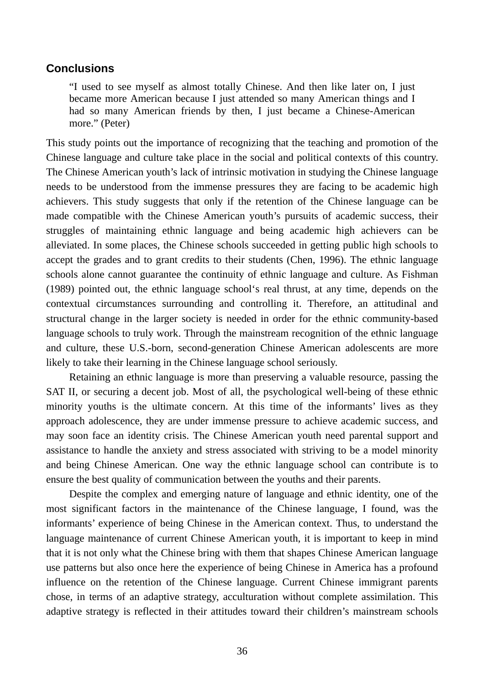## **Conclusions**

"I used to see myself as almost totally Chinese. And then like later on, I just became more American because I just attended so many American things and I had so many American friends by then, I just became a Chinese-American more." (Peter)

This study points out the importance of recognizing that the teaching and promotion of the Chinese language and culture take place in the social and political contexts of this country. The Chinese American youth's lack of intrinsic motivation in studying the Chinese language needs to be understood from the immense pressures they are facing to be academic high achievers. This study suggests that only if the retention of the Chinese language can be made compatible with the Chinese American youth's pursuits of academic success, their struggles of maintaining ethnic language and being academic high achievers can be alleviated. In some places, the Chinese schools succeeded in getting public high schools to accept the grades and to grant credits to their students (Chen, 1996). The ethnic language schools alone cannot guarantee the continuity of ethnic language and culture. As Fishman (1989) pointed out, the ethnic language school's real thrust, at any time, depends on the contextual circumstances surrounding and controlling it. Therefore, an attitudinal and structural change in the larger society is needed in order for the ethnic community-based language schools to truly work. Through the mainstream recognition of the ethnic language and culture, these U.S.-born, second-generation Chinese American adolescents are more likely to take their learning in the Chinese language school seriously.

Retaining an ethnic language is more than preserving a valuable resource, passing the SAT II, or securing a decent job. Most of all, the psychological well-being of these ethnic minority youths is the ultimate concern. At this time of the informants' lives as they approach adolescence, they are under immense pressure to achieve academic success, and may soon face an identity crisis. The Chinese American youth need parental support and assistance to handle the anxiety and stress associated with striving to be a model minority and being Chinese American. One way the ethnic language school can contribute is to ensure the best quality of communication between the youths and their parents.

Despite the complex and emerging nature of language and ethnic identity, one of the most significant factors in the maintenance of the Chinese language, I found, was the informants' experience of being Chinese in the American context. Thus, to understand the language maintenance of current Chinese American youth, it is important to keep in mind that it is not only what the Chinese bring with them that shapes Chinese American language use patterns but also once here the experience of being Chinese in America has a profound influence on the retention of the Chinese language. Current Chinese immigrant parents chose, in terms of an adaptive strategy, acculturation without complete assimilation. This adaptive strategy is reflected in their attitudes toward their children's mainstream schools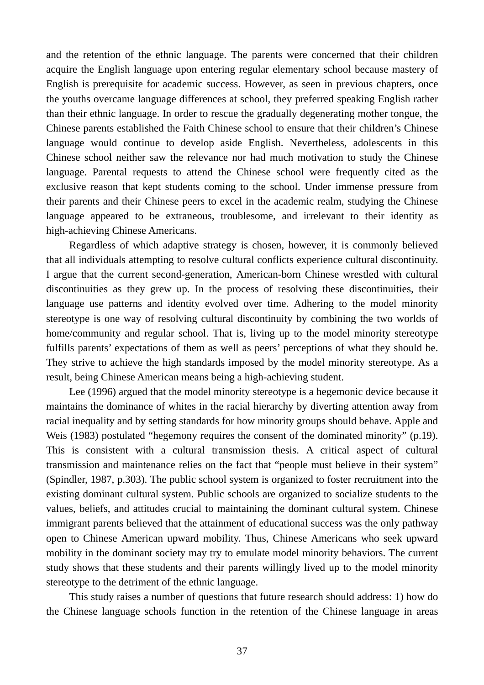and the retention of the ethnic language. The parents were concerned that their children acquire the English language upon entering regular elementary school because mastery of English is prerequisite for academic success. However, as seen in previous chapters, once the youths overcame language differences at school, they preferred speaking English rather than their ethnic language. In order to rescue the gradually degenerating mother tongue, the Chinese parents established the Faith Chinese school to ensure that their children's Chinese language would continue to develop aside English. Nevertheless, adolescents in this Chinese school neither saw the relevance nor had much motivation to study the Chinese language. Parental requests to attend the Chinese school were frequently cited as the exclusive reason that kept students coming to the school. Under immense pressure from their parents and their Chinese peers to excel in the academic realm, studying the Chinese language appeared to be extraneous, troublesome, and irrelevant to their identity as high-achieving Chinese Americans.

Regardless of which adaptive strategy is chosen, however, it is commonly believed that all individuals attempting to resolve cultural conflicts experience cultural discontinuity. I argue that the current second-generation, American-born Chinese wrestled with cultural discontinuities as they grew up. In the process of resolving these discontinuities, their language use patterns and identity evolved over time. Adhering to the model minority stereotype is one way of resolving cultural discontinuity by combining the two worlds of home/community and regular school. That is, living up to the model minority stereotype fulfills parents' expectations of them as well as peers' perceptions of what they should be. They strive to achieve the high standards imposed by the model minority stereotype. As a result, being Chinese American means being a high-achieving student.

Lee (1996) argued that the model minority stereotype is a hegemonic device because it maintains the dominance of whites in the racial hierarchy by diverting attention away from racial inequality and by setting standards for how minority groups should behave. Apple and Weis (1983) postulated "hegemony requires the consent of the dominated minority" (p.19). This is consistent with a cultural transmission thesis. A critical aspect of cultural transmission and maintenance relies on the fact that "people must believe in their system" (Spindler, 1987, p.303). The public school system is organized to foster recruitment into the existing dominant cultural system. Public schools are organized to socialize students to the values, beliefs, and attitudes crucial to maintaining the dominant cultural system. Chinese immigrant parents believed that the attainment of educational success was the only pathway open to Chinese American upward mobility. Thus, Chinese Americans who seek upward mobility in the dominant society may try to emulate model minority behaviors. The current study shows that these students and their parents willingly lived up to the model minority stereotype to the detriment of the ethnic language.

This study raises a number of questions that future research should address: 1) how do the Chinese language schools function in the retention of the Chinese language in areas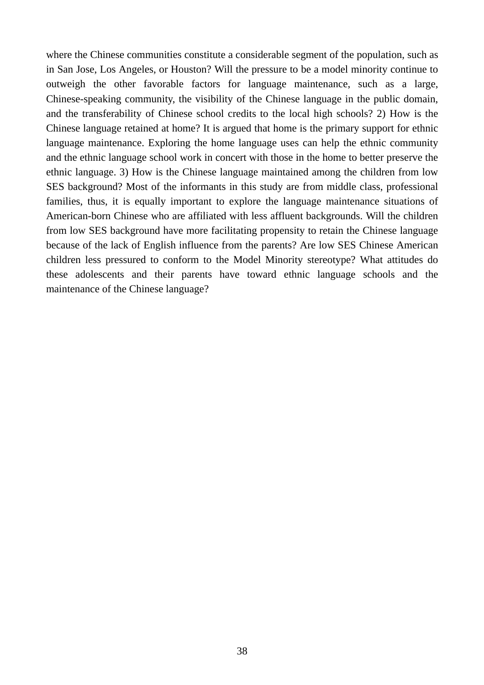where the Chinese communities constitute a considerable segment of the population, such as in San Jose, Los Angeles, or Houston? Will the pressure to be a model minority continue to outweigh the other favorable factors for language maintenance, such as a large, Chinese-speaking community, the visibility of the Chinese language in the public domain, and the transferability of Chinese school credits to the local high schools? 2) How is the Chinese language retained at home? It is argued that home is the primary support for ethnic language maintenance. Exploring the home language uses can help the ethnic community and the ethnic language school work in concert with those in the home to better preserve the ethnic language. 3) How is the Chinese language maintained among the children from low SES background? Most of the informants in this study are from middle class, professional families, thus, it is equally important to explore the language maintenance situations of American-born Chinese who are affiliated with less affluent backgrounds. Will the children from low SES background have more facilitating propensity to retain the Chinese language because of the lack of English influence from the parents? Are low SES Chinese American children less pressured to conform to the Model Minority stereotype? What attitudes do these adolescents and their parents have toward ethnic language schools and the maintenance of the Chinese language?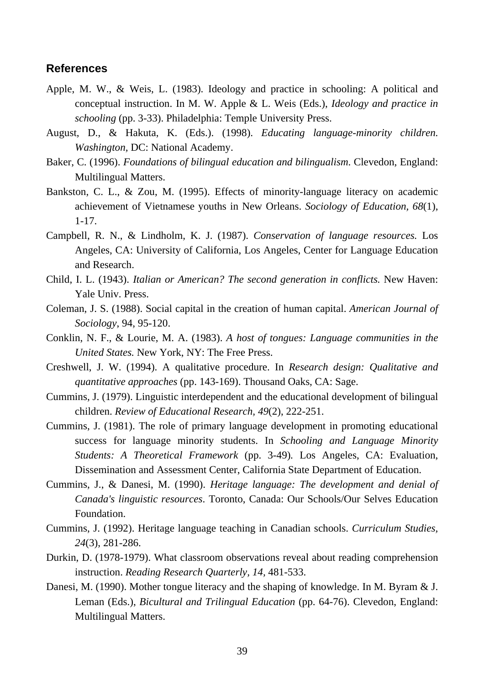#### **References**

- Apple, M. W., & Weis, L. (1983). Ideology and practice in schooling: A political and conceptual instruction. In M. W. Apple & L. Weis (Eds.), *Ideology and practice in schooling* (pp. 3-33). Philadelphia: Temple University Press.
- August, D., & Hakuta, K. (Eds.). (1998). *Educating language-minority children. Washington,* DC: National Academy.
- Baker, C. (1996). *Foundations of bilingual education and bilingualism*. Clevedon, England: Multilingual Matters.
- Bankston, C. L., & Zou, M. (1995). Effects of minority-language literacy on academic achievement of Vietnamese youths in New Orleans. *Sociology of Education, 68*(1), 1-17.
- Campbell, R. N., & Lindholm, K. J. (1987). *Conservation of language resources.* Los Angeles, CA: University of California, Los Angeles, Center for Language Education and Research.
- Child, I. L. (1943). *Italian or American? The second generation in conflicts.* New Haven: Yale Univ. Press.
- Coleman, J. S. (1988). Social capital in the creation of human capital. *American Journal of Sociology*, 94, 95-120.
- Conklin, N. F., & Lourie, M. A. (1983). *A host of tongues: Language communities in the United States.* New York, NY: The Free Press.
- Creshwell, J. W. (1994). A qualitative procedure. In *Research design: Qualitative and quantitative approaches* (pp. 143-169). Thousand Oaks, CA: Sage.
- Cummins, J. (1979). Linguistic interdependent and the educational development of bilingual children. *Review of Educational Research, 49*(2), 222-251.
- Cummins, J. (1981). The role of primary language development in promoting educational success for language minority students. In *Schooling and Language Minority Students: A Theoretical Framework* (pp. 3-49)*.* Los Angeles, CA: Evaluation, Dissemination and Assessment Center, California State Department of Education.
- Cummins, J., & Danesi, M. (1990). *Heritage language: The development and denial of Canada's linguistic resources*. Toronto, Canada: Our Schools/Our Selves Education Foundation.
- Cummins, J. (1992). Heritage language teaching in Canadian schools. *Curriculum Studies, 24*(3), 281-286.
- Durkin, D. (1978-1979). What classroom observations reveal about reading comprehension instruction. *Reading Research Quarterly, 14,* 481-533.
- Danesi, M. (1990). Mother tongue literacy and the shaping of knowledge. In M. Byram & J. Leman (Eds.), *Bicultural and Trilingual Education* (pp. 64-76). Clevedon, England: Multilingual Matters.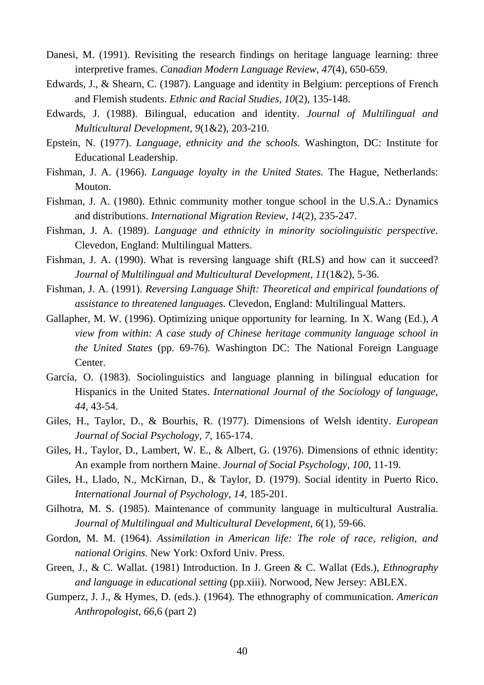- Danesi, M. (1991). Revisiting the research findings on heritage language learning: three interpretive frames. *Canadian Modern Language Review, 47*(4), 650-659.
- Edwards, J., & Shearn, C. (1987). Language and identity in Belgium: perceptions of French and Flemish students. *Ethnic and Racial Studies, 10*(2), 135-148.
- Edwards, J. (1988). Bilingual, education and identity. *Journal of Multilingual and Multicultural Development, 9*(1&2), 203-210.
- Epstein, N. (1977). *Language, ethnicity and the schools.* Washington, DC: Institute for Educational Leadership.
- Fishman, J. A. (1966). *Language loyalty in the United States.* The Hague, Netherlands: Mouton.
- Fishman, J. A. (1980). Ethnic community mother tongue school in the U.S.A.: Dynamics and distributions. *International Migration Review, 14*(2), 235-247.
- Fishman, J. A. (1989). *Language and ethnicity in minority sociolinguistic perspective.* Clevedon, England: Multilingual Matters.
- Fishman, J. A. (1990). What is reversing language shift (RLS) and how can it succeed? *Journal of Multilingual and Multicultural Development, 11*(1&2), 5-36.
- Fishman, J. A. (1991). *Reversing Language Shift: Theoretical and empirical foundations of assistance to threatened languages.* Clevedon, England: Multilingual Matters.
- Gallapher, M. W. (1996). Optimizing unique opportunity for learning. In X. Wang (Ed.), *A view from within: A case study of Chinese heritage community language school in the United States* (pp. 69-76)*.* Washington DC: The National Foreign Language Center.
- García, O. (1983). Sociolinguistics and language planning in bilingual education for Hispanics in the United States. *International Journal of the Sociology of language, 44,* 43-54.
- Giles, H., Taylor, D., & Bourhis, R. (1977). Dimensions of Welsh identity. *European Journal of Social Psychology, 7*, 165-174.
- Giles, H., Taylor, D., Lambert, W. E., & Albert, G. (1976). Dimensions of ethnic identity: An example from northern Maine. *Journal of Social Psychology, 100*, 11-19.
- Giles, H., Llado, N., McKirnan, D., & Taylor, D. (1979). Social identity in Puerto Rico. *International Journal of Psychology, 14,* 185-201.
- Gilhotra, M. S. (1985). Maintenance of community language in multicultural Australia. *Journal of Multilingual and Multicultural Development, 6*(1), 59-66.
- Gordon, M. M. (1964). *Assimilation in American life: The role of race, religion, and national Origins.* New York: Oxford Univ. Press.
- Green, J., & C. Wallat. (1981) Introduction. In J. Green & C. Wallat (Eds.), *Ethnography and language in educational setting* (pp.xiii). Norwood, New Jersey: ABLEX.
- Gumperz, J. J., & Hymes, D. (eds.). (1964). The ethnography of communication. *American Anthropologist, 66*,6 (part 2)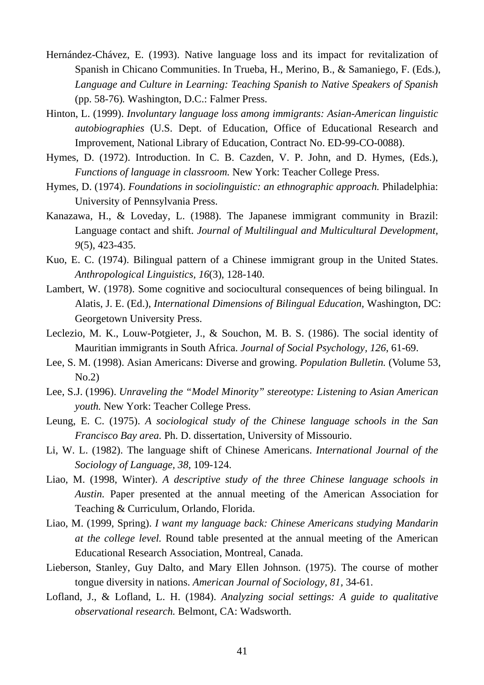- Hernández-Chávez, E. (1993). Native language loss and its impact for revitalization of Spanish in Chicano Communities. In Trueba, H., Merino, B., & Samaniego, F. (Eds.), *Language and Culture in Learning: Teaching Spanish to Native Speakers of Spanish*  (pp. 58-76)*.* Washington, D.C.: Falmer Press.
- Hinton, L. (1999). *Involuntary language loss among immigrants: Asian-American linguistic autobiographies* (U.S. Dept. of Education, Office of Educational Research and Improvement, National Library of Education, Contract No. ED-99-CO-0088).
- Hymes, D. (1972). Introduction. In C. B. Cazden, V. P. John, and D. Hymes, (Eds.), *Functions of language in classroom.* New York: Teacher College Press.
- Hymes, D. (1974). *Foundations in sociolinguistic: an ethnographic approach.* Philadelphia: University of Pennsylvania Press.
- Kanazawa, H., & Loveday, L. (1988). The Japanese immigrant community in Brazil: Language contact and shift. *Journal of Multilingual and Multicultural Development, 9*(5), 423-435.
- Kuo, E. C. (1974). Bilingual pattern of a Chinese immigrant group in the United States. *Anthropological Linguistics, 16*(3), 128-140.
- Lambert, W. (1978). Some cognitive and sociocultural consequences of being bilingual. In Alatis, J. E. (Ed.), *International Dimensions of Bilingual Education,* Washington, DC: Georgetown University Press.
- Leclezio, M. K., Louw-Potgieter, J., & Souchon, M. B. S. (1986). The social identity of Mauritian immigrants in South Africa. *Journal of Social Psychology, 126*, 61-69.
- Lee, S. M. (1998). Asian Americans: Diverse and growing. *Population Bulletin.* (Volume 53, No.2)
- Lee, S.J. (1996). *Unraveling the "Model Minority" stereotype: Listening to Asian American youth.* New York: Teacher College Press.
- Leung, E. C. (1975). *A sociological study of the Chinese language schools in the San Francisco Bay area.* Ph. D. dissertation, University of Missourio.
- Li, W. L. (1982). The language shift of Chinese Americans. *International Journal of the Sociology of Language, 38,* 109-124.
- Liao, M. (1998, Winter). *A descriptive study of the three Chinese language schools in Austin.* Paper presented at the annual meeting of the American Association for Teaching & Curriculum, Orlando, Florida.
- Liao, M. (1999, Spring). *I want my language back: Chinese Americans studying Mandarin at the college level.* Round table presented at the annual meeting of the American Educational Research Association, Montreal, Canada.
- Lieberson, Stanley, Guy Dalto, and Mary Ellen Johnson. (1975). The course of mother tongue diversity in nations. *American Journal of Sociology, 81,* 34-61.
- Lofland, J., & Lofland, L. H. (1984). *Analyzing social settings: A guide to qualitative observational research.* Belmont, CA: Wadsworth.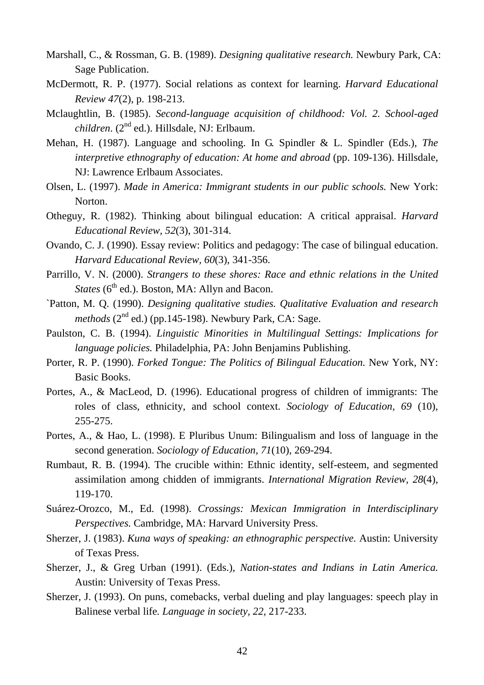- Marshall, C., & Rossman, G. B. (1989). *Designing qualitative research.* Newbury Park, CA: Sage Publication.
- McDermott, R. P. (1977). Social relations as context for learning. *Harvard Educational Review 47*(2), p. 198-213.
- Mclaughtlin, B. (1985). *Second-language acquisition of childhood: Vol. 2. School-aged children*. (2nd ed.). Hillsdale, NJ: Erlbaum.
- Mehan, H. (1987). Language and schooling. In G. Spindler & L. Spindler (Eds.), *The interpretive ethnography of education: At home and abroad* (pp. 109-136). Hillsdale, NJ: Lawrence Erlbaum Associates.
- Olsen, L. (1997). *Made in America: Immigrant students in our public schools.* New York: Norton.
- Otheguy, R. (1982). Thinking about bilingual education: A critical appraisal. *Harvard Educational Review, 52*(3), 301-314.
- Ovando, C. J. (1990). Essay review: Politics and pedagogy: The case of bilingual education. *Harvard Educational Review, 60*(3), 341-356.
- Parrillo, V. N. (2000). *Strangers to these shores: Race and ethnic relations in the United States* (6<sup>th</sup> ed.). Boston, MA: Allyn and Bacon.
- `Patton, M. Q. (1990). *Designing qualitative studies. Qualitative Evaluation and research methods* ( $2<sup>nd</sup>$  ed.) (pp.145-198). Newbury Park, CA: Sage.
- Paulston, C. B. (1994). *Linguistic Minorities in Multilingual Settings: Implications for language policies.* Philadelphia, PA: John Benjamins Publishing.
- Porter, R. P. (1990). *Forked Tongue: The Politics of Bilingual Education.* New York, NY: Basic Books.
- Portes, A., & MacLeod, D. (1996). Educational progress of children of immigrants: The roles of class, ethnicity, and school context. *Sociology of Education, 69* (10), 255-275.
- Portes, A., & Hao, L. (1998). E Pluribus Unum: Bilingualism and loss of language in the second generation. *Sociology of Education, 71*(10), 269-294.
- Rumbaut, R. B. (1994). The crucible within: Ethnic identity, self-esteem, and segmented assimilation among chidden of immigrants. *International Migration Review, 28*(4), 119-170.
- Suárez-Orozco, M., Ed. (1998). *Crossings: Mexican Immigration in Interdisciplinary Perspectives.* Cambridge, MA: Harvard University Press.
- Sherzer, J. (1983). *Kuna ways of speaking: an ethnographic perspective.* Austin: University of Texas Press.
- Sherzer, J., & Greg Urban (1991). (Eds.), *Nation-states and Indians in Latin America.* Austin: University of Texas Press.
- Sherzer, J. (1993). On puns, comebacks, verbal dueling and play languages: speech play in Balinese verbal life*. Language in society, 22,* 217-233.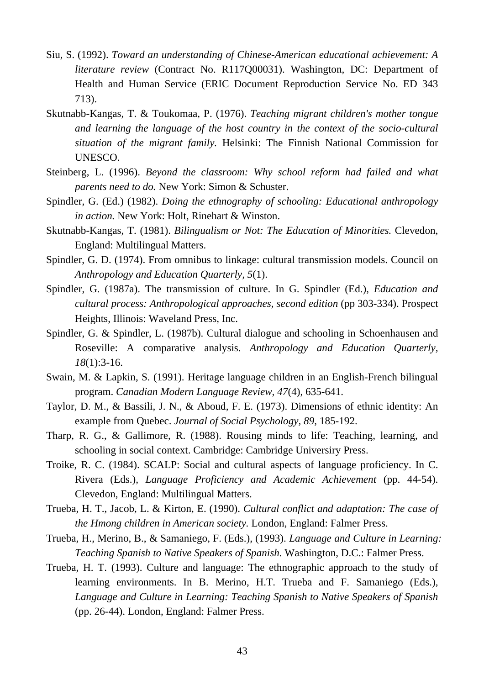- Siu, S. (1992). *Toward an understanding of Chinese-American educational achievement: A literature review* (Contract No. R117Q00031). Washington, DC: Department of Health and Human Service (ERIC Document Reproduction Service No. ED 343 713).
- Skutnabb-Kangas, T. & Toukomaa, P. (1976). *Teaching migrant children's mother tongue and learning the language of the host country in the context of the socio-cultural situation of the migrant family.* Helsinki: The Finnish National Commission for UNESCO.
- Steinberg, L. (1996). *Beyond the classroom: Why school reform had failed and what parents need to do.* New York: Simon & Schuster.
- Spindler, G. (Ed.) (1982). *Doing the ethnography of schooling: Educational anthropology in action.* New York: Holt, Rinehart & Winston.
- Skutnabb-Kangas, T. (1981). *Bilingualism or Not: The Education of Minorities.* Clevedon, England: Multilingual Matters.
- Spindler, G. D. (1974). From omnibus to linkage: cultural transmission models. Council on *Anthropology and Education Quarterly, 5*(1).
- Spindler, G. (1987a). The transmission of culture. In G. Spindler (Ed.), *Education and cultural process: Anthropological approaches, second edition* (pp 303-334). Prospect Heights, Illinois: Waveland Press, Inc.
- Spindler, G. & Spindler, L. (1987b). Cultural dialogue and schooling in Schoenhausen and Roseville: A comparative analysis. *Anthropology and Education Quarterly, 18*(1):3-16.
- Swain, M. & Lapkin, S. (1991). Heritage language children in an English-French bilingual program. *Canadian Modern Language Review, 47*(4), 635-641.
- Taylor, D. M., & Bassili, J. N., & Aboud, F. E. (1973). Dimensions of ethnic identity: An example from Quebec. *Journal of Social Psychology, 89*, 185-192.
- Tharp, R. G., & Gallimore, R. (1988). Rousing minds to life: Teaching, learning, and schooling in social context. Cambridge: Cambridge Universiry Press.
- Troike, R. C. (1984). SCALP: Social and cultural aspects of language proficiency. In C. Rivera (Eds.), *Language Proficiency and Academic Achievement* (pp. 44-54). Clevedon, England: Multilingual Matters.
- Trueba, H. T., Jacob, L. & Kirton, E. (1990). *Cultural conflict and adaptation: The case of the Hmong children in American society.* London, England: Falmer Press.
- Trueba, H., Merino, B., & Samaniego, F. (Eds.), (1993). *Language and Culture in Learning: Teaching Spanish to Native Speakers of Spanish.* Washington, D.C.: Falmer Press.
- Trueba, H. T. (1993). Culture and language: The ethnographic approach to the study of learning environments. In B. Merino, H.T. Trueba and F. Samaniego (Eds.), *Language and Culture in Learning: Teaching Spanish to Native Speakers of Spanish* (pp. 26-44). London, England: Falmer Press.